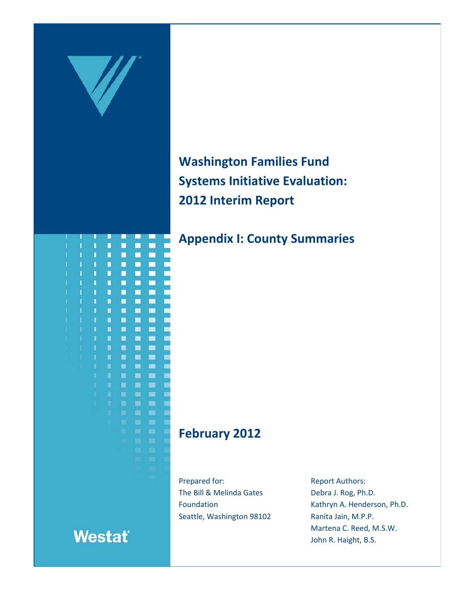

# **Washington Families Fund Systems Initiative Evaluation: 2012 Interim Report**

## **Appendix I: County Summaries**

## **February 2012**

Prepared for: The Bill & Melinda Gates Foundation Seattle, Washington 98102 Report Authors: Debra J. Rog, Ph.D. Kathryn A. Henderson, Ph.D. Ranita Jain, M.P.P. Martena C. Reed, M.S.W. John R. Haight, B.S.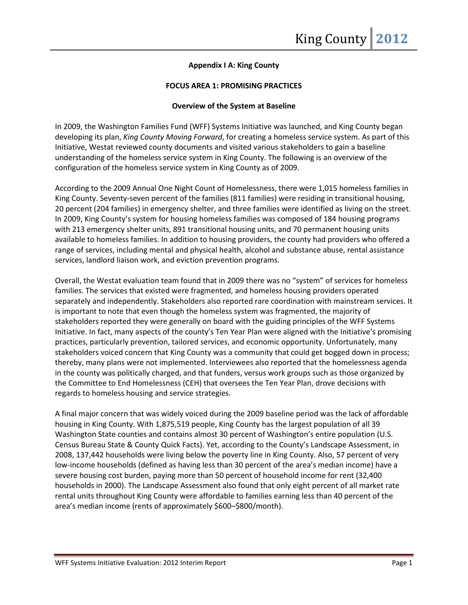## **Appendix I A: King County**

## **FOCUS AREA 1: PROMISING PRACTICES**

#### **Overview of the System at Baseline**

In 2009, the Washington Families Fund (WFF) Systems Initiative was launched, and King County began developing its plan, *King County Moving Forward*, for creating a homeless service system. As part of this Initiative, Westat reviewed county documents and visited various stakeholders to gain a baseline understanding of the homeless service system in King County. The following is an overview of the configuration of the homeless service system in King County as of 2009.

According to the 2009 Annual One Night Count of Homelessness, there were 1,015 homeless families in King County. Seventy-seven percent of the families (811 families) were residing in transitional housing, 20 percent (204 families) in emergency shelter, and three families were identified as living on the street. In 2009, King County's system for housing homeless families was composed of 184 housing programs with 213 emergency shelter units, 891 transitional housing units, and 70 permanent housing units available to homeless families. In addition to housing providers, the county had providers who offered a range of services, including mental and physical health, alcohol and substance abuse, rental assistance services, landlord liaison work, and eviction prevention programs.

Overall, the Westat evaluation team found that in 2009 there was no "system" of services for homeless families. The services that existed were fragmented, and homeless housing providers operated separately and independently. Stakeholders also reported rare coordination with mainstream services. It is important to note that even though the homeless system was fragmented, the majority of stakeholders reported they were generally on board with the guiding principles of the WFF Systems Initiative. In fact, many aspects of the county's Ten Year Plan were aligned with the Initiative's promising practices, particularly prevention, tailored services, and economic opportunity. Unfortunately, many stakeholders voiced concern that King County was a community that could get bogged down in process; thereby, many plans were not implemented. Interviewees also reported that the homelessness agenda in the county was politically charged, and that funders, versus work groups such as those organized by the Committee to End Homelessness (CEH) that oversees the Ten Year Plan, drove decisions with regards to homeless housing and service strategies.

A final major concern that was widely voiced during the 2009 baseline period was the lack of affordable housing in King County. With 1,875,519 people, King County has the largest population of all 39 Washington State counties and contains almost 30 percent of Washington's entire population (U.S. Census Bureau State & County Quick Facts). Yet, according to the County's Landscape Assessment, in 2008, 137,442 households were living below the poverty line in King County. Also, 57 percent of very low-income households (defined as having less than 30 percent of the area's median income) have a severe housing cost burden, paying more than 50 percent of household income for rent (32,400 households in 2000). The Landscape Assessment also found that only eight percent of all market rate rental units throughout King County were affordable to families earning less than 40 percent of the area's median income (rents of approximately \$600–\$800/month).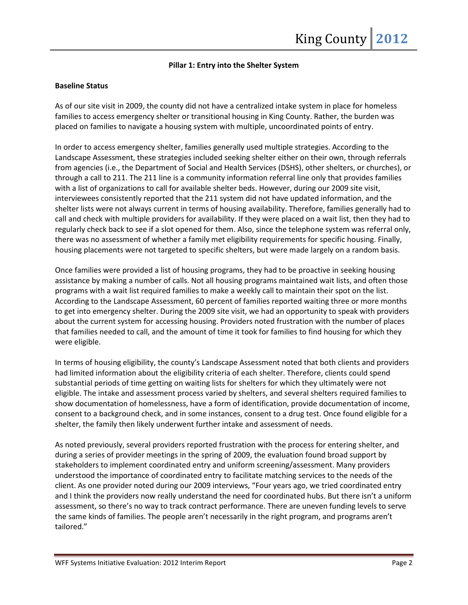## **Pillar 1: Entry into the Shelter System**

## **Baseline Status**

As of our site visit in 2009, the county did not have a centralized intake system in place for homeless families to access emergency shelter or transitional housing in King County. Rather, the burden was placed on families to navigate a housing system with multiple, uncoordinated points of entry.

In order to access emergency shelter, families generally used multiple strategies. According to the Landscape Assessment, these strategies included seeking shelter either on their own, through referrals from agencies (i.e., the Department of Social and Health Services (DSHS), other shelters, or churches), or through a call to 211. The 211 line is a community information referral line only that provides families with a list of organizations to call for available shelter beds. However, during our 2009 site visit, interviewees consistently reported that the 211 system did not have updated information, and the shelter lists were not always current in terms of housing availability. Therefore, families generally had to call and check with multiple providers for availability. If they were placed on a wait list, then they had to regularly check back to see if a slot opened for them. Also, since the telephone system was referral only, there was no assessment of whether a family met eligibility requirements for specific housing. Finally, housing placements were not targeted to specific shelters, but were made largely on a random basis.

Once families were provided a list of housing programs, they had to be proactive in seeking housing assistance by making a number of calls. Not all housing programs maintained wait lists, and often those programs with a wait list required families to make a weekly call to maintain their spot on the list. According to the Landscape Assessment, 60 percent of families reported waiting three or more months to get into emergency shelter. During the 2009 site visit, we had an opportunity to speak with providers about the current system for accessing housing. Providers noted frustration with the number of places that families needed to call, and the amount of time it took for families to find housing for which they were eligible.

In terms of housing eligibility, the county's Landscape Assessment noted that both clients and providers had limited information about the eligibility criteria of each shelter. Therefore, clients could spend substantial periods of time getting on waiting lists for shelters for which they ultimately were not eligible. The intake and assessment process varied by shelters, and several shelters required families to show documentation of homelessness, have a form of identification, provide documentation of income, consent to a background check, and in some instances, consent to a drug test. Once found eligible for a shelter, the family then likely underwent further intake and assessment of needs.

As noted previously, several providers reported frustration with the process for entering shelter, and during a series of provider meetings in the spring of 2009, the evaluation found broad support by stakeholders to implement coordinated entry and uniform screening/assessment. Many providers understood the importance of coordinated entry to facilitate matching services to the needs of the client. As one provider noted during our 2009 interviews, "Four years ago, we tried coordinated entry and I think the providers now really understand the need for coordinated hubs. But there isn't a uniform assessment, so there's no way to track contract performance. There are uneven funding levels to serve the same kinds of families. The people aren't necessarily in the right program, and programs aren't tailored."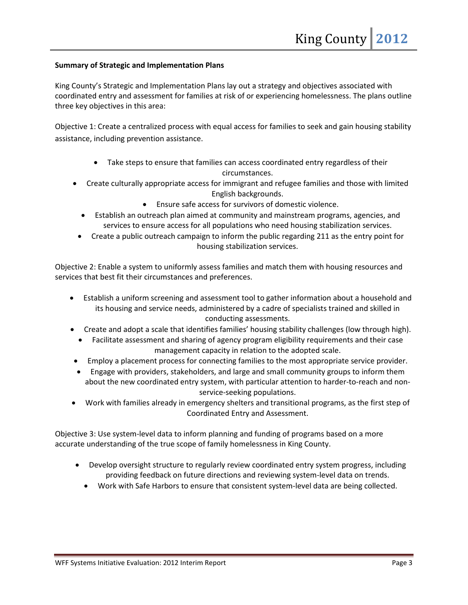## **Summary of Strategic and Implementation Plans**

King County's Strategic and Implementation Plans lay out a strategy and objectives associated with coordinated entry and assessment for families at risk of or experiencing homelessness. The plans outline three key objectives in this area:

Objective 1: Create a centralized process with equal access for families to seek and gain housing stability assistance, including prevention assistance.

- Take steps to ensure that families can access coordinated entry regardless of their circumstances.
- Create culturally appropriate access for immigrant and refugee families and those with limited English backgrounds.
	- Ensure safe access for survivors of domestic violence.
	- Establish an outreach plan aimed at community and mainstream programs, agencies, and services to ensure access for all populations who need housing stabilization services.
	- Create a public outreach campaign to inform the public regarding 211 as the entry point for housing stabilization services.

Objective 2: Enable a system to uniformly assess families and match them with housing resources and services that best fit their circumstances and preferences.

- Establish a uniform screening and assessment tool to gather information about a household and its housing and service needs, administered by a cadre of specialists trained and skilled in conducting assessments.
- Create and adopt a scale that identifies families' housing stability challenges (low through high).
	- Facilitate assessment and sharing of agency program eligibility requirements and their case management capacity in relation to the adopted scale.
- Employ a placement process for connecting families to the most appropriate service provider.
- Engage with providers, stakeholders, and large and small community groups to inform them about the new coordinated entry system, with particular attention to harder-to-reach and nonservice-seeking populations.
- Work with families already in emergency shelters and transitional programs, as the first step of Coordinated Entry and Assessment.

Objective 3: Use system-level data to inform planning and funding of programs based on a more accurate understanding of the true scope of family homelessness in King County.

- Develop oversight structure to regularly review coordinated entry system progress, including providing feedback on future directions and reviewing system-level data on trends.
	- Work with Safe Harbors to ensure that consistent system-level data are being collected.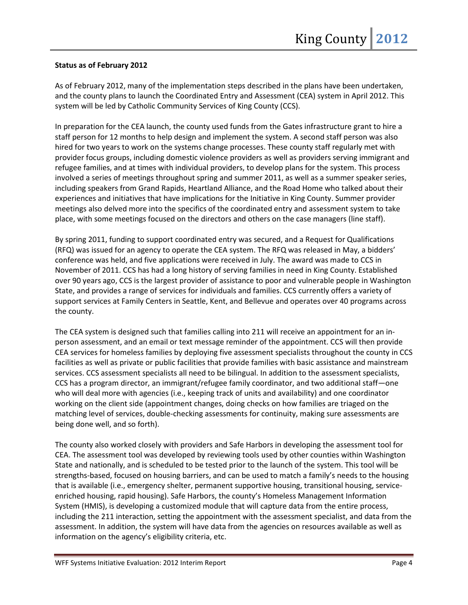## **Status as of February 2012**

As of February 2012, many of the implementation steps described in the plans have been undertaken, and the county plans to launch the Coordinated Entry and Assessment (CEA) system in April 2012. This system will be led by Catholic Community Services of King County (CCS).

In preparation for the CEA launch, the county used funds from the Gates infrastructure grant to hire a staff person for 12 months to help design and implement the system. A second staff person was also hired for two years to work on the systems change processes. These county staff regularly met with provider focus groups, including domestic violence providers as well as providers serving immigrant and refugee families, and at times with individual providers, to develop plans for the system. This process involved a series of meetings throughout spring and summer 2011, as well as a summer speaker series, including speakers from Grand Rapids, Heartland Alliance, and the Road Home who talked about their experiences and initiatives that have implications for the Initiative in King County. Summer provider meetings also delved more into the specifics of the coordinated entry and assessment system to take place, with some meetings focused on the directors and others on the case managers (line staff).

By spring 2011, funding to support coordinated entry was secured, and a Request for Qualifications (RFQ) was issued for an agency to operate the CEA system. The RFQ was released in May, a bidders' conference was held, and five applications were received in July. The award was made to CCS in November of 2011. CCS has had a long history of serving families in need in King County. Established over 90 years ago, CCS is the largest provider of assistance to poor and vulnerable people in Washington State, and provides a range of services for individuals and families. CCS currently offers a variety of support services at Family Centers in Seattle, Kent, and Bellevue and operates over 40 programs across the county.

The CEA system is designed such that families calling into 211 will receive an appointment for an inperson assessment, and an email or text message reminder of the appointment. CCS will then provide CEA services for homeless families by deploying five assessment specialists throughout the county in CCS facilities as well as private or public facilities that provide families with basic assistance and mainstream services. CCS assessment specialists all need to be bilingual. In addition to the assessment specialists, CCS has a program director, an immigrant/refugee family coordinator, and two additional staff—one who will deal more with agencies (i.e., keeping track of units and availability) and one coordinator working on the client side (appointment changes, doing checks on how families are triaged on the matching level of services, double-checking assessments for continuity, making sure assessments are being done well, and so forth).

The county also worked closely with providers and Safe Harbors in developing the assessment tool for CEA. The assessment tool was developed by reviewing tools used by other counties within Washington State and nationally, and is scheduled to be tested prior to the launch of the system. This tool will be strengths-based, focused on housing barriers, and can be used to match a family's needs to the housing that is available (i.e., emergency shelter, permanent supportive housing, transitional housing, serviceenriched housing, rapid housing). Safe Harbors, the county's Homeless Management Information System (HMIS), is developing a customized module that will capture data from the entire process, including the 211 interaction, setting the appointment with the assessment specialist, and data from the assessment. In addition, the system will have data from the agencies on resources available as well as information on the agency's eligibility criteria, etc.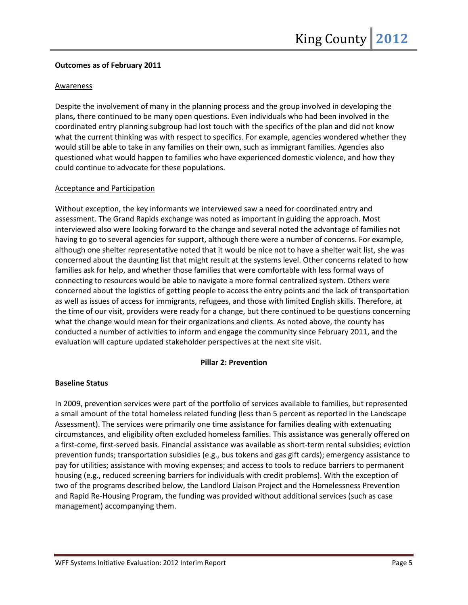## **Outcomes as of February 2011**

## Awareness

Despite the involvement of many in the planning process and the group involved in developing the plans**,** there continued to be many open questions. Even individuals who had been involved in the coordinated entry planning subgroup had lost touch with the specifics of the plan and did not know what the current thinking was with respect to specifics. For example, agencies wondered whether they would still be able to take in any families on their own, such as immigrant families. Agencies also questioned what would happen to families who have experienced domestic violence, and how they could continue to advocate for these populations.

## Acceptance and Participation

Without exception, the key informants we interviewed saw a need for coordinated entry and assessment. The Grand Rapids exchange was noted as important in guiding the approach. Most interviewed also were looking forward to the change and several noted the advantage of families not having to go to several agencies for support, although there were a number of concerns. For example, although one shelter representative noted that it would be nice not to have a shelter wait list, she was concerned about the daunting list that might result at the systems level. Other concerns related to how families ask for help, and whether those families that were comfortable with less formal ways of connecting to resources would be able to navigate a more formal centralized system. Others were concerned about the logistics of getting people to access the entry points and the lack of transportation as well as issues of access for immigrants, refugees, and those with limited English skills. Therefore, at the time of our visit, providers were ready for a change, but there continued to be questions concerning what the change would mean for their organizations and clients. As noted above, the county has conducted a number of activities to inform and engage the community since February 2011, and the evaluation will capture updated stakeholder perspectives at the next site visit.

## **Pillar 2: Prevention**

## **Baseline Status**

In 2009, prevention services were part of the portfolio of services available to families, but represented a small amount of the total homeless related funding (less than 5 percent as reported in the Landscape Assessment). The services were primarily one time assistance for families dealing with extenuating circumstances, and eligibility often excluded homeless families. This assistance was generally offered on a first-come, first-served basis. Financial assistance was available as short-term rental subsidies; eviction prevention funds; transportation subsidies (e.g., bus tokens and gas gift cards); emergency assistance to pay for utilities; assistance with moving expenses; and access to tools to reduce barriers to permanent housing (e.g., reduced screening barriers for individuals with credit problems). With the exception of two of the programs described below, the Landlord Liaison Project and the Homelessness Prevention and Rapid Re-Housing Program, the funding was provided without additional services (such as case management) accompanying them.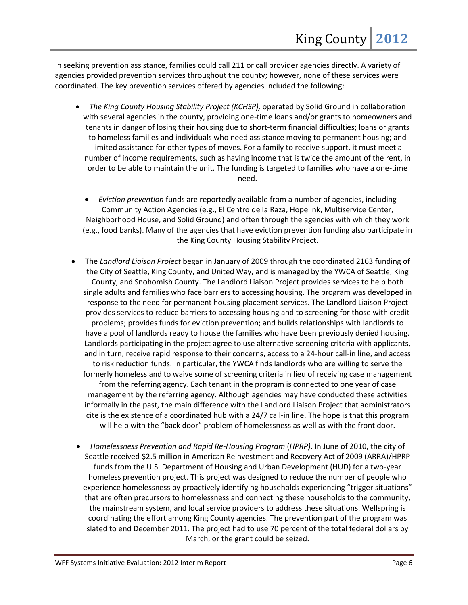In seeking prevention assistance, families could call 211 or call provider agencies directly. A variety of agencies provided prevention services throughout the county; however, none of these services were coordinated. The key prevention services offered by agencies included the following:

- *The King County Housing Stability Project (KCHSP),* operated by Solid Ground in collaboration with several agencies in the county, providing one-time loans and/or grants to homeowners and tenants in danger of losing their housing due to short-term financial difficulties; loans or grants to homeless families and individuals who need assistance moving to permanent housing; and limited assistance for other types of moves. For a family to receive support, it must meet a number of income requirements, such as having income that is twice the amount of the rent, in order to be able to maintain the unit. The funding is targeted to families who have a one-time need.
	- *Eviction prevention* funds are reportedly available from a number of agencies, including Community Action Agencies (e.g., El Centro de la Raza, Hopelink, Multiservice Center, Neighborhood House, and Solid Ground) and often through the agencies with which they work (e.g., food banks). Many of the agencies that have eviction prevention funding also participate in the King County Housing Stability Project.
- The *Landlord Liaison Project* began in January of 2009 through the coordinated 2163 funding of the City of Seattle, King County, and United Way, and is managed by the YWCA of Seattle, King County, and Snohomish County. The Landlord Liaison Project provides services to help both single adults and families who face barriers to accessing housing. The program was developed in response to the need for permanent housing placement services. The Landlord Liaison Project provides services to reduce barriers to accessing housing and to screening for those with credit problems; provides funds for eviction prevention; and builds relationships with landlords to have a pool of landlords ready to house the families who have been previously denied housing. Landlords participating in the project agree to use alternative screening criteria with applicants, and in turn, receive rapid response to their concerns, access to a 24-hour call-in line, and access to risk reduction funds. In particular, the YWCA finds landlords who are willing to serve the formerly homeless and to waive some of screening criteria in lieu of receiving case management from the referring agency. Each tenant in the program is connected to one year of case management by the referring agency. Although agencies may have conducted these activities informally in the past, the main difference with the Landlord Liaison Project that administrators cite is the existence of a coordinated hub with a 24/7 call-in line. The hope is that this program will help with the "back door" problem of homelessness as well as with the front door.
	- *Homelessness Prevention and Rapid Re-Housing Program* (*HPRP).* In June of 2010, the city of Seattle received \$2.5 million in American Reinvestment and Recovery Act of 2009 (ARRA)/HPRP funds from the U.S. Department of Housing and Urban Development (HUD) for a two-year homeless prevention project. This project was designed to reduce the number of people who experience homelessness by proactively identifying households experiencing "trigger situations" that are often precursors to homelessness and connecting these households to the community, the mainstream system, and local service providers to address these situations. Wellspring is coordinating the effort among King County agencies. The prevention part of the program was slated to end December 2011. The project had to use 70 percent of the total federal dollars by March, or the grant could be seized.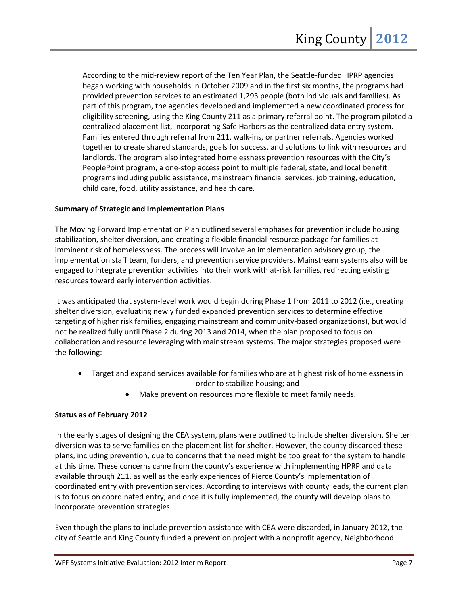According to the mid-review report of the Ten Year Plan, the Seattle-funded HPRP agencies began working with households in October 2009 and in the first six months, the programs had provided prevention services to an estimated 1,293 people (both individuals and families). As part of this program, the agencies developed and implemented a new coordinated process for eligibility screening, using the King County 211 as a primary referral point. The program piloted a centralized placement list, incorporating Safe Harbors as the centralized data entry system. Families entered through referral from 211, walk-ins, or partner referrals. Agencies worked together to create shared standards, goals for success, and solutions to link with resources and landlords. The program also integrated homelessness prevention resources with the City's PeoplePoint program, a one-stop access point to multiple federal, state, and local benefit programs including public assistance, mainstream financial services, job training, education, child care, food, utility assistance, and health care.

## **Summary of Strategic and Implementation Plans**

The Moving Forward Implementation Plan outlined several emphases for prevention include housing stabilization, shelter diversion, and creating a flexible financial resource package for families at imminent risk of homelessness. The process will involve an implementation advisory group, the implementation staff team, funders, and prevention service providers. Mainstream systems also will be engaged to integrate prevention activities into their work with at-risk families, redirecting existing resources toward early intervention activities.

It was anticipated that system-level work would begin during Phase 1 from 2011 to 2012 (i.e., creating shelter diversion, evaluating newly funded expanded prevention services to determine effective targeting of higher risk families, engaging mainstream and community-based organizations), but would not be realized fully until Phase 2 during 2013 and 2014, when the plan proposed to focus on collaboration and resource leveraging with mainstream systems. The major strategies proposed were the following:

- Target and expand services available for families who are at highest risk of homelessness in order to stabilize housing; and
	- Make prevention resources more flexible to meet family needs.

## **Status as of February 2012**

In the early stages of designing the CEA system, plans were outlined to include shelter diversion. Shelter diversion was to serve families on the placement list for shelter. However, the county discarded these plans, including prevention, due to concerns that the need might be too great for the system to handle at this time. These concerns came from the county's experience with implementing HPRP and data available through 211, as well as the early experiences of Pierce County's implementation of coordinated entry with prevention services. According to interviews with county leads, the current plan is to focus on coordinated entry, and once it is fully implemented, the county will develop plans to incorporate prevention strategies.

Even though the plans to include prevention assistance with CEA were discarded, in January 2012, the city of Seattle and King County funded a prevention project with a nonprofit agency, Neighborhood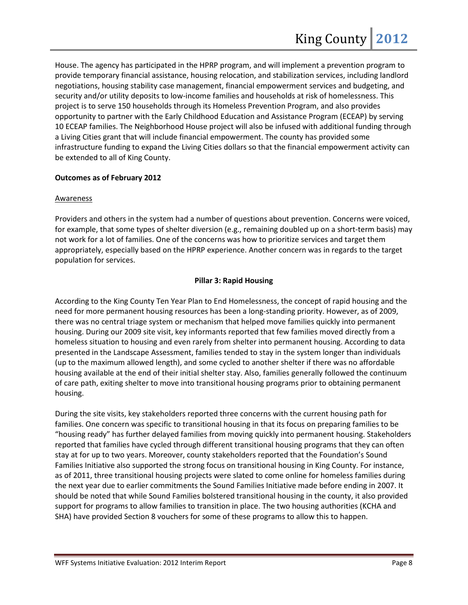House. The agency has participated in the HPRP program, and will implement a prevention program to provide temporary financial assistance, housing relocation, and stabilization services, including landlord negotiations, housing stability case management, financial empowerment services and budgeting, and security and/or utility deposits to low-income families and households at risk of homelessness. This project is to serve 150 households through its Homeless Prevention Program, and also provides opportunity to partner with the Early Childhood Education and Assistance Program (ECEAP) by serving 10 ECEAP families. The Neighborhood House project will also be infused with additional funding through a Living Cities grant that will include financial empowerment. The county has provided some infrastructure funding to expand the Living Cities dollars so that the financial empowerment activity can be extended to all of King County.

## **Outcomes as of February 2012**

## Awareness

Providers and others in the system had a number of questions about prevention. Concerns were voiced, for example, that some types of shelter diversion (e.g., remaining doubled up on a short-term basis) may not work for a lot of families. One of the concerns was how to prioritize services and target them appropriately, especially based on the HPRP experience. Another concern was in regards to the target population for services.

## **Pillar 3: Rapid Housing**

According to the King County Ten Year Plan to End Homelessness, the concept of rapid housing and the need for more permanent housing resources has been a long-standing priority. However, as of 2009, there was no central triage system or mechanism that helped move families quickly into permanent housing. During our 2009 site visit, key informants reported that few families moved directly from a homeless situation to housing and even rarely from shelter into permanent housing. According to data presented in the Landscape Assessment, families tended to stay in the system longer than individuals (up to the maximum allowed length), and some cycled to another shelter if there was no affordable housing available at the end of their initial shelter stay. Also, families generally followed the continuum of care path, exiting shelter to move into transitional housing programs prior to obtaining permanent housing.

During the site visits, key stakeholders reported three concerns with the current housing path for families. One concern was specific to transitional housing in that its focus on preparing families to be "housing ready" has further delayed families from moving quickly into permanent housing. Stakeholders reported that families have cycled through different transitional housing programs that they can often stay at for up to two years. Moreover, county stakeholders reported that the Foundation's Sound Families Initiative also supported the strong focus on transitional housing in King County. For instance, as of 2011, three transitional housing projects were slated to come online for homeless families during the next year due to earlier commitments the Sound Families Initiative made before ending in 2007. It should be noted that while Sound Families bolstered transitional housing in the county, it also provided support for programs to allow families to transition in place. The two housing authorities (KCHA and SHA) have provided Section 8 vouchers for some of these programs to allow this to happen.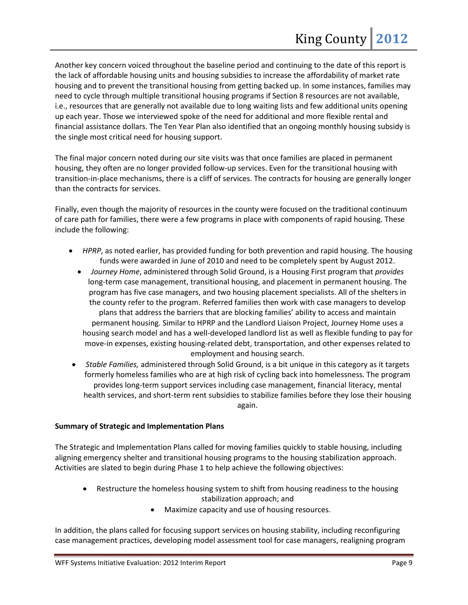Another key concern voiced throughout the baseline period and continuing to the date of this report is the lack of affordable housing units and housing subsidies to increase the affordability of market rate housing and to prevent the transitional housing from getting backed up. In some instances, families may need to cycle through multiple transitional housing programs if Section 8 resources are not available, i.e., resources that are generally not available due to long waiting lists and few additional units opening up each year. Those we interviewed spoke of the need for additional and more flexible rental and financial assistance dollars. The Ten Year Plan also identified that an ongoing monthly housing subsidy is the single most critical need for housing support.

The final major concern noted during our site visits was that once families are placed in permanent housing, they often are no longer provided follow-up services. Even for the transitional housing with transition-in-place mechanisms, there is a cliff of services. The contracts for housing are generally longer than the contracts for services.

Finally, even though the majority of resources in the county were focused on the traditional continuum of care path for families, there were a few programs in place with components of rapid housing. These include the following:

- *HPRP*, as noted earlier, has provided funding for both prevention and rapid housing. The housing funds were awarded in June of 2010 and need to be completely spent by August 2012.
	- *Journey Home*, administered through Solid Ground, is a Housing First program that *provides* long-term case management, transitional housing, and placement in permanent housing. The program has five case managers, and two housing placement specialists. All of the shelters in the county refer to the program. Referred families then work with case managers to develop plans that address the barriers that are blocking families' ability to access and maintain permanent housing. Similar to HPRP and the Landlord Liaison Project, Journey Home uses a housing search model and has a well-developed landlord list as well as flexible funding to pay for move-in expenses, existing housing-related debt, transportation, and other expenses related to employment and housing search.
- *Stable Families,* administered through Solid Ground, is a bit unique in this category as it targets formerly homeless families who are at high risk of cycling back into homelessness. The program provides long-term support services including case management, financial literacy, mental health services, and short-term rent subsidies to stabilize families before they lose their housing again.

## **Summary of Strategic and Implementation Plans**

The Strategic and Implementation Plans called for moving families quickly to stable housing, including aligning emergency shelter and transitional housing programs to the housing stabilization approach. Activities are slated to begin during Phase 1 to help achieve the following objectives:

- Restructure the homeless housing system to shift from housing readiness to the housing stabilization approach; and
	- Maximize capacity and use of housing resources.

In addition, the plans called for focusing support services on housing stability, including reconfiguring case management practices, developing model assessment tool for case managers, realigning program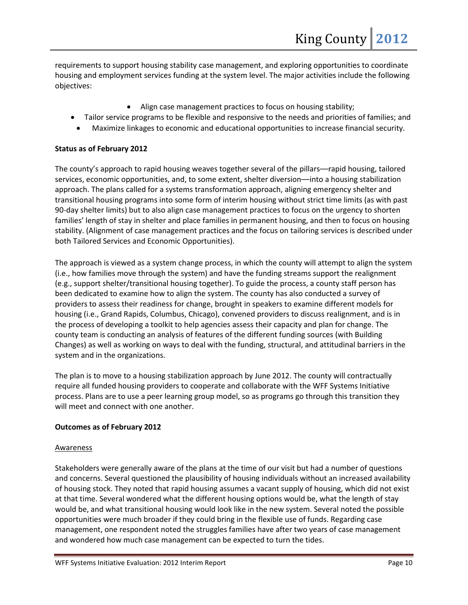requirements to support housing stability case management, and exploring opportunities to coordinate housing and employment services funding at the system level. The major activities include the following objectives:

- Align case management practices to focus on housing stability;
- Tailor service programs to be flexible and responsive to the needs and priorities of families; and
	- Maximize linkages to economic and educational opportunities to increase financial security.

## **Status as of February 2012**

The county's approach to rapid housing weaves together several of the pillars––rapid housing, tailored services, economic opportunities, and, to some extent, shelter diversion––into a housing stabilization approach. The plans called for a systems transformation approach, aligning emergency shelter and transitional housing programs into some form of interim housing without strict time limits (as with past 90-day shelter limits) but to also align case management practices to focus on the urgency to shorten families' length of stay in shelter and place families in permanent housing, and then to focus on housing stability. (Alignment of case management practices and the focus on tailoring services is described under both Tailored Services and Economic Opportunities).

The approach is viewed as a system change process, in which the county will attempt to align the system (i.e., how families move through the system) and have the funding streams support the realignment (e.g., support shelter/transitional housing together). To guide the process, a county staff person has been dedicated to examine how to align the system. The county has also conducted a survey of providers to assess their readiness for change, brought in speakers to examine different models for housing (i.e., Grand Rapids, Columbus, Chicago), convened providers to discuss realignment, and is in the process of developing a toolkit to help agencies assess their capacity and plan for change. The county team is conducting an analysis of features of the different funding sources (with Building Changes) as well as working on ways to deal with the funding, structural, and attitudinal barriers in the system and in the organizations.

The plan is to move to a housing stabilization approach by June 2012. The county will contractually require all funded housing providers to cooperate and collaborate with the WFF Systems Initiative process. Plans are to use a peer learning group model, so as programs go through this transition they will meet and connect with one another.

## **Outcomes as of February 2012**

## Awareness

Stakeholders were generally aware of the plans at the time of our visit but had a number of questions and concerns. Several questioned the plausibility of housing individuals without an increased availability of housing stock. They noted that rapid housing assumes a vacant supply of housing, which did not exist at that time. Several wondered what the different housing options would be, what the length of stay would be, and what transitional housing would look like in the new system. Several noted the possible opportunities were much broader if they could bring in the flexible use of funds. Regarding case management, one respondent noted the struggles families have after two years of case management and wondered how much case management can be expected to turn the tides.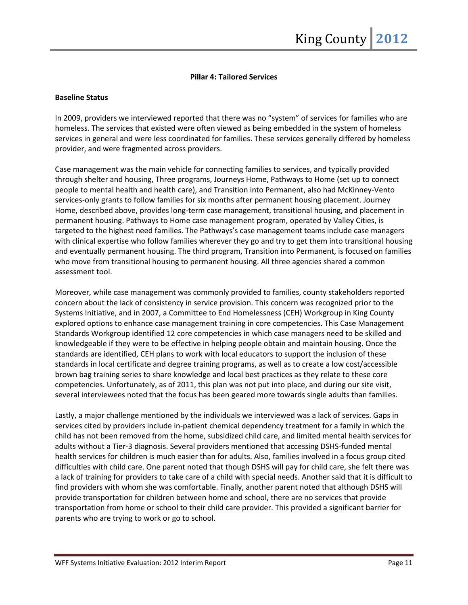## **Pillar 4: Tailored Services**

#### **Baseline Status**

In 2009, providers we interviewed reported that there was no "system" of services for families who are homeless. The services that existed were often viewed as being embedded in the system of homeless services in general and were less coordinated for families. These services generally differed by homeless provider, and were fragmented across providers.

Case management was the main vehicle for connecting families to services, and typically provided through shelter and housing, Three programs, Journeys Home, Pathways to Home (set up to connect people to mental health and health care), and Transition into Permanent, also had McKinney-Vento services-only grants to follow families for six months after permanent housing placement. Journey Home, described above, provides long-term case management, transitional housing, and placement in permanent housing. Pathways to Home case management program, operated by Valley Cities, is targeted to the highest need families. The Pathways's case management teams include case managers with clinical expertise who follow families wherever they go and try to get them into transitional housing and eventually permanent housing. The third program, Transition into Permanent, is focused on families who move from transitional housing to permanent housing. All three agencies shared a common assessment tool.

Moreover, while case management was commonly provided to families, county stakeholders reported concern about the lack of consistency in service provision. This concern was recognized prior to the Systems Initiative, and in 2007, a Committee to End Homelessness (CEH) Workgroup in King County explored options to enhance case management training in core competencies. This Case Management Standards Workgroup identified 12 core competencies in which case managers need to be skilled and knowledgeable if they were to be effective in helping people obtain and maintain housing. Once the standards are identified, CEH plans to work with local educators to support the inclusion of these standards in local certificate and degree training programs, as well as to create a low cost/accessible brown bag training series to share knowledge and local best practices as they relate to these core competencies. Unfortunately, as of 2011, this plan was not put into place, and during our site visit, several interviewees noted that the focus has been geared more towards single adults than families.

Lastly, a major challenge mentioned by the individuals we interviewed was a lack of services. Gaps in services cited by providers include in-patient chemical dependency treatment for a family in which the child has not been removed from the home, subsidized child care, and limited mental health services for adults without a Tier-3 diagnosis. Several providers mentioned that accessing DSHS-funded mental health services for children is much easier than for adults. Also, families involved in a focus group cited difficulties with child care. One parent noted that though DSHS will pay for child care, she felt there was a lack of training for providers to take care of a child with special needs. Another said that it is difficult to find providers with whom she was comfortable. Finally, another parent noted that although DSHS will provide transportation for children between home and school, there are no services that provide transportation from home or school to their child care provider. This provided a significant barrier for parents who are trying to work or go to school.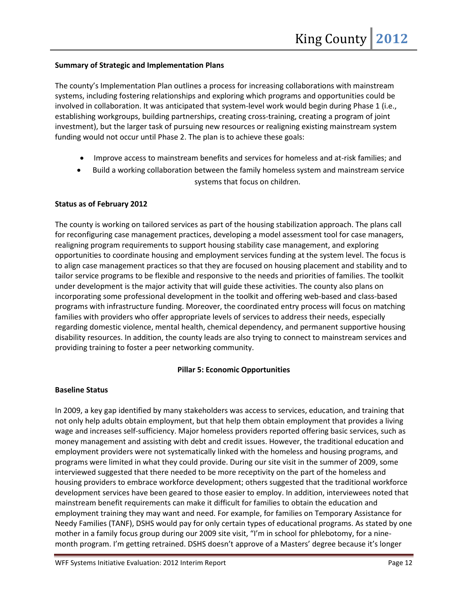## **Summary of Strategic and Implementation Plans**

The county's Implementation Plan outlines a process for increasing collaborations with mainstream systems, including fostering relationships and exploring which programs and opportunities could be involved in collaboration. It was anticipated that system-level work would begin during Phase 1 (i.e., establishing workgroups, building partnerships, creating cross-training, creating a program of joint investment), but the larger task of pursuing new resources or realigning existing mainstream system funding would not occur until Phase 2. The plan is to achieve these goals:

- Improve access to mainstream benefits and services for homeless and at-risk families; and
- Build a working collaboration between the family homeless system and mainstream service systems that focus on children.

## **Status as of February 2012**

The county is working on tailored services as part of the housing stabilization approach. The plans call for reconfiguring case management practices, developing a model assessment tool for case managers, realigning program requirements to support housing stability case management, and exploring opportunities to coordinate housing and employment services funding at the system level. The focus is to align case management practices so that they are focused on housing placement and stability and to tailor service programs to be flexible and responsive to the needs and priorities of families. The toolkit under development is the major activity that will guide these activities. The county also plans on incorporating some professional development in the toolkit and offering web-based and class-based programs with infrastructure funding. Moreover, the coordinated entry process will focus on matching families with providers who offer appropriate levels of services to address their needs, especially regarding domestic violence, mental health, chemical dependency, and permanent supportive housing disability resources. In addition, the county leads are also trying to connect to mainstream services and providing training to foster a peer networking community.

## **Pillar 5: Economic Opportunities**

## **Baseline Status**

In 2009, a key gap identified by many stakeholders was access to services, education, and training that not only help adults obtain employment, but that help them obtain employment that provides a living wage and increases self-sufficiency. Major homeless providers reported offering basic services, such as money management and assisting with debt and credit issues. However, the traditional education and employment providers were not systematically linked with the homeless and housing programs, and programs were limited in what they could provide. During our site visit in the summer of 2009, some interviewed suggested that there needed to be more receptivity on the part of the homeless and housing providers to embrace workforce development; others suggested that the traditional workforce development services have been geared to those easier to employ. In addition, interviewees noted that mainstream benefit requirements can make it difficult for families to obtain the education and employment training they may want and need. For example, for families on Temporary Assistance for Needy Families (TANF), DSHS would pay for only certain types of educational programs. As stated by one mother in a family focus group during our 2009 site visit, "I'm in school for phlebotomy, for a ninemonth program. I'm getting retrained. DSHS doesn't approve of a Masters' degree because it's longer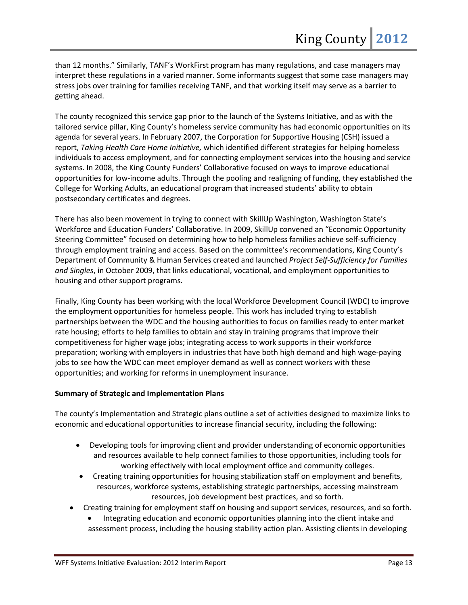than 12 months." Similarly, TANF's WorkFirst program has many regulations, and case managers may interpret these regulations in a varied manner. Some informants suggest that some case managers may stress jobs over training for families receiving TANF, and that working itself may serve as a barrier to getting ahead.

The county recognized this service gap prior to the launch of the Systems Initiative, and as with the tailored service pillar, King County's homeless service community has had economic opportunities on its agenda for several years. In February 2007, the Corporation for Supportive Housing (CSH) issued a report, *Taking Health Care Home Initiative,* which identified different strategies for helping homeless individuals to access employment, and for connecting employment services into the housing and service systems. In 2008, the King County Funders' Collaborative focused on ways to improve educational opportunities for low-income adults. Through the pooling and realigning of funding, they established the College for Working Adults, an educational program that increased students' ability to obtain postsecondary certificates and degrees.

There has also been movement in trying to connect with SkillUp Washington, Washington State's Workforce and Education Funders' Collaborative. In 2009, SkillUp convened an "Economic Opportunity Steering Committee" focused on determining how to help homeless families achieve self-sufficiency through employment training and access. Based on the committee's recommendations, King County's Department of Community & Human Services created and launched *Project Self-Sufficiency for Families and Singles*, in October 2009, that links educational, vocational, and employment opportunities to housing and other support programs.

Finally, King County has been working with the local Workforce Development Council (WDC) to improve the employment opportunities for homeless people. This work has included trying to establish partnerships between the WDC and the housing authorities to focus on families ready to enter market rate housing; efforts to help families to obtain and stay in training programs that improve their competitiveness for higher wage jobs; integrating access to work supports in their workforce preparation; working with employers in industries that have both high demand and high wage-paying jobs to see how the WDC can meet employer demand as well as connect workers with these opportunities; and working for reforms in unemployment insurance.

## **Summary of Strategic and Implementation Plans**

The county's Implementation and Strategic plans outline a set of activities designed to maximize links to economic and educational opportunities to increase financial security, including the following:

- Developing tools for improving client and provider understanding of economic opportunities and resources available to help connect families to those opportunities, including tools for working effectively with local employment office and community colleges.
- Creating training opportunities for housing stabilization staff on employment and benefits, resources, workforce systems, establishing strategic partnerships, accessing mainstream resources, job development best practices, and so forth.
- Creating training for employment staff on housing and support services, resources, and so forth.
	- Integrating education and economic opportunities planning into the client intake and assessment process, including the housing stability action plan. Assisting clients in developing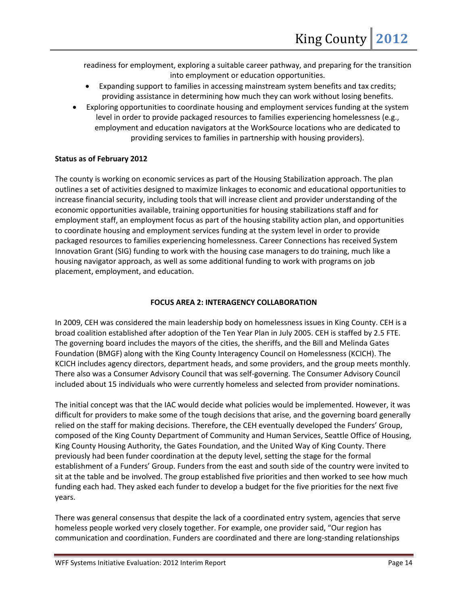readiness for employment, exploring a suitable career pathway, and preparing for the transition into employment or education opportunities.

- Expanding support to families in accessing mainstream system benefits and tax credits; providing assistance in determining how much they can work without losing benefits.
- Exploring opportunities to coordinate housing and employment services funding at the system level in order to provide packaged resources to families experiencing homelessness (e.g., employment and education navigators at the WorkSource locations who are dedicated to providing services to families in partnership with housing providers).

## **Status as of February 2012**

The county is working on economic services as part of the Housing Stabilization approach. The plan outlines a set of activities designed to maximize linkages to economic and educational opportunities to increase financial security, including tools that will increase client and provider understanding of the economic opportunities available, training opportunities for housing stabilizations staff and for employment staff, an employment focus as part of the housing stability action plan, and opportunities to coordinate housing and employment services funding at the system level in order to provide packaged resources to families experiencing homelessness. Career Connections has received System Innovation Grant (SIG) funding to work with the housing case managers to do training, much like a housing navigator approach, as well as some additional funding to work with programs on job placement, employment, and education.

## **FOCUS AREA 2: INTERAGENCY COLLABORATION**

In 2009, CEH was considered the main leadership body on homelessness issues in King County. CEH is a broad coalition established after adoption of the Ten Year Plan in July 2005. CEH is staffed by 2.5 FTE. The governing board includes the mayors of the cities, the sheriffs, and the Bill and Melinda Gates Foundation (BMGF) along with the King County Interagency Council on Homelessness (KCICH). The KCICH includes agency directors, department heads, and some providers, and the group meets monthly. There also was a Consumer Advisory Council that was self-governing. The Consumer Advisory Council included about 15 individuals who were currently homeless and selected from provider nominations.

The initial concept was that the IAC would decide what policies would be implemented. However, it was difficult for providers to make some of the tough decisions that arise, and the governing board generally relied on the staff for making decisions. Therefore, the CEH eventually developed the Funders' Group, composed of the King County Department of Community and Human Services, Seattle Office of Housing, King County Housing Authority, the Gates Foundation, and the United Way of King County. There previously had been funder coordination at the deputy level, setting the stage for the formal establishment of a Funders' Group. Funders from the east and south side of the country were invited to sit at the table and be involved. The group established five priorities and then worked to see how much funding each had. They asked each funder to develop a budget for the five priorities for the next five years.

There was general consensus that despite the lack of a coordinated entry system, agencies that serve homeless people worked very closely together. For example, one provider said, "Our region has communication and coordination. Funders are coordinated and there are long-standing relationships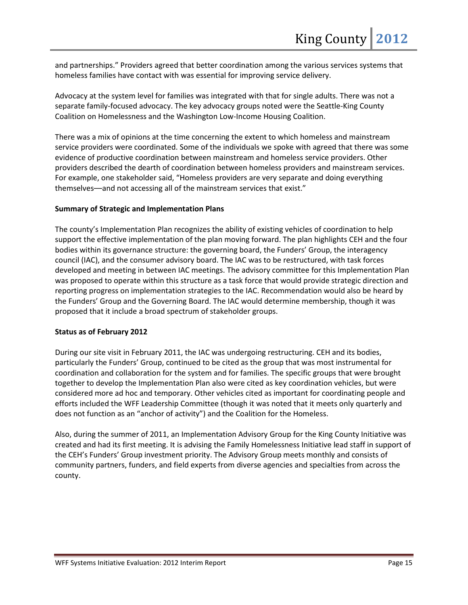and partnerships." Providers agreed that better coordination among the various services systems that homeless families have contact with was essential for improving service delivery.

Advocacy at the system level for families was integrated with that for single adults. There was not a separate family-focused advocacy. The key advocacy groups noted were the Seattle-King County Coalition on Homelessness and the Washington Low-Income Housing Coalition.

There was a mix of opinions at the time concerning the extent to which homeless and mainstream service providers were coordinated. Some of the individuals we spoke with agreed that there was some evidence of productive coordination between mainstream and homeless service providers. Other providers described the dearth of coordination between homeless providers and mainstream services. For example, one stakeholder said, "Homeless providers are very separate and doing everything themselves––and not accessing all of the mainstream services that exist."

## **Summary of Strategic and Implementation Plans**

The county's Implementation Plan recognizes the ability of existing vehicles of coordination to help support the effective implementation of the plan moving forward. The plan highlights CEH and the four bodies within its governance structure: the governing board, the Funders' Group, the interagency council (IAC), and the consumer advisory board. The IAC was to be restructured, with task forces developed and meeting in between IAC meetings. The advisory committee for this Implementation Plan was proposed to operate within this structure as a task force that would provide strategic direction and reporting progress on implementation strategies to the IAC. Recommendation would also be heard by the Funders' Group and the Governing Board. The IAC would determine membership, though it was proposed that it include a broad spectrum of stakeholder groups.

## **Status as of February 2012**

During our site visit in February 2011, the IAC was undergoing restructuring. CEH and its bodies, particularly the Funders' Group, continued to be cited as the group that was most instrumental for coordination and collaboration for the system and for families. The specific groups that were brought together to develop the Implementation Plan also were cited as key coordination vehicles, but were considered more ad hoc and temporary. Other vehicles cited as important for coordinating people and efforts included the WFF Leadership Committee (though it was noted that it meets only quarterly and does not function as an "anchor of activity") and the Coalition for the Homeless.

Also, during the summer of 2011, an Implementation Advisory Group for the King County Initiative was created and had its first meeting. It is advising the Family Homelessness Initiative lead staff in support of the CEH's Funders' Group investment priority. The Advisory Group meets monthly and consists of community partners, funders, and field experts from diverse agencies and specialties from across the county.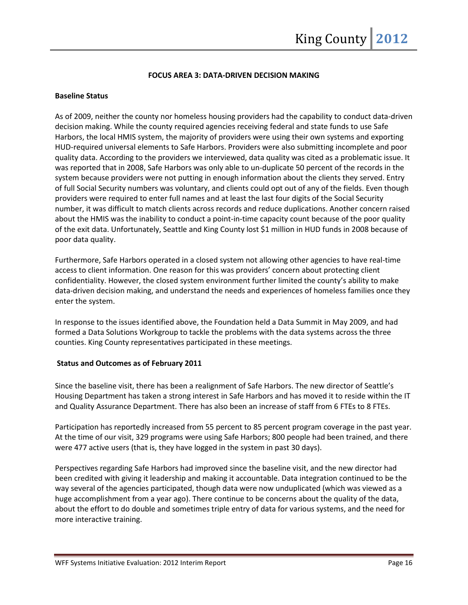## **FOCUS AREA 3: DATA-DRIVEN DECISION MAKING**

## **Baseline Status**

As of 2009, neither the county nor homeless housing providers had the capability to conduct data-driven decision making. While the county required agencies receiving federal and state funds to use Safe Harbors, the local HMIS system, the majority of providers were using their own systems and exporting HUD-required universal elements to Safe Harbors. Providers were also submitting incomplete and poor quality data. According to the providers we interviewed, data quality was cited as a problematic issue. It was reported that in 2008, Safe Harbors was only able to un-duplicate 50 percent of the records in the system because providers were not putting in enough information about the clients they served. Entry of full Social Security numbers was voluntary, and clients could opt out of any of the fields. Even though providers were required to enter full names and at least the last four digits of the Social Security number, it was difficult to match clients across records and reduce duplications. Another concern raised about the HMIS was the inability to conduct a point-in-time capacity count because of the poor quality of the exit data. Unfortunately, Seattle and King County lost \$1 million in HUD funds in 2008 because of poor data quality.

Furthermore, Safe Harbors operated in a closed system not allowing other agencies to have real-time access to client information. One reason for this was providers' concern about protecting client confidentiality. However, the closed system environment further limited the county's ability to make data-driven decision making, and understand the needs and experiences of homeless families once they enter the system.

In response to the issues identified above, the Foundation held a Data Summit in May 2009, and had formed a Data Solutions Workgroup to tackle the problems with the data systems across the three counties. King County representatives participated in these meetings.

## **Status and Outcomes as of February 2011**

Since the baseline visit, there has been a realignment of Safe Harbors. The new director of Seattle's Housing Department has taken a strong interest in Safe Harbors and has moved it to reside within the IT and Quality Assurance Department. There has also been an increase of staff from 6 FTEs to 8 FTEs.

Participation has reportedly increased from 55 percent to 85 percent program coverage in the past year. At the time of our visit, 329 programs were using Safe Harbors; 800 people had been trained, and there were 477 active users (that is, they have logged in the system in past 30 days).

Perspectives regarding Safe Harbors had improved since the baseline visit, and the new director had been credited with giving it leadership and making it accountable. Data integration continued to be the way several of the agencies participated, though data were now unduplicated (which was viewed as a huge accomplishment from a year ago). There continue to be concerns about the quality of the data, about the effort to do double and sometimes triple entry of data for various systems, and the need for more interactive training.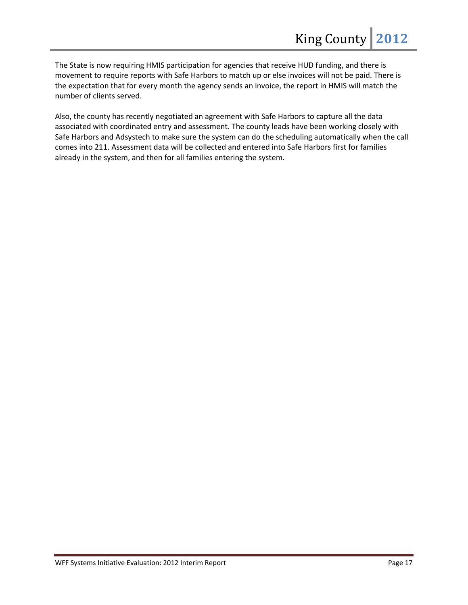The State is now requiring HMIS participation for agencies that receive HUD funding, and there is movement to require reports with Safe Harbors to match up or else invoices will not be paid. There is the expectation that for every month the agency sends an invoice, the report in HMIS will match the number of clients served.

Also, the county has recently negotiated an agreement with Safe Harbors to capture all the data associated with coordinated entry and assessment. The county leads have been working closely with Safe Harbors and Adsystech to make sure the system can do the scheduling automatically when the call comes into 211. Assessment data will be collected and entered into Safe Harbors first for families already in the system, and then for all families entering the system.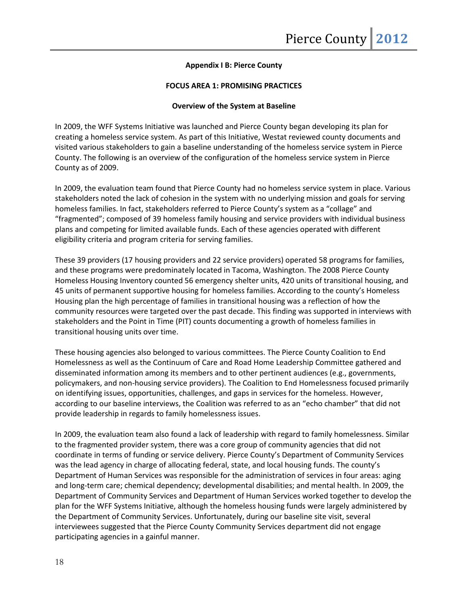## **Appendix I B: Pierce County**

## **FOCUS AREA 1: PROMISING PRACTICES**

#### **Overview of the System at Baseline**

In 2009, the WFF Systems Initiative was launched and Pierce County began developing its plan for creating a homeless service system. As part of this Initiative, Westat reviewed county documents and visited various stakeholders to gain a baseline understanding of the homeless service system in Pierce County. The following is an overview of the configuration of the homeless service system in Pierce County as of 2009.

In 2009, the evaluation team found that Pierce County had no homeless service system in place. Various stakeholders noted the lack of cohesion in the system with no underlying mission and goals for serving homeless families. In fact, stakeholders referred to Pierce County's system as a "collage" and "fragmented"; composed of 39 homeless family housing and service providers with individual business plans and competing for limited available funds. Each of these agencies operated with different eligibility criteria and program criteria for serving families.

These 39 providers (17 housing providers and 22 service providers) operated 58 programs for families, and these programs were predominately located in Tacoma, Washington. The 2008 Pierce County Homeless Housing Inventory counted 56 emergency shelter units, 420 units of transitional housing, and 45 units of permanent supportive housing for homeless families. According to the county's Homeless Housing plan the high percentage of families in transitional housing was a reflection of how the community resources were targeted over the past decade. This finding was supported in interviews with stakeholders and the Point in Time (PIT) counts documenting a growth of homeless families in transitional housing units over time.

These housing agencies also belonged to various committees. The Pierce County Coalition to End Homelessness as well as the Continuum of Care and Road Home Leadership Committee gathered and disseminated information among its members and to other pertinent audiences (e.g., governments, policymakers, and non-housing service providers). The Coalition to End Homelessness focused primarily on identifying issues, opportunities, challenges, and gaps in services for the homeless. However, according to our baseline interviews, the Coalition was referred to as an "echo chamber" that did not provide leadership in regards to family homelessness issues.

In 2009, the evaluation team also found a lack of leadership with regard to family homelessness. Similar to the fragmented provider system, there was a core group of community agencies that did not coordinate in terms of funding or service delivery. Pierce County's Department of Community Services was the lead agency in charge of allocating federal, state, and local housing funds. The county's Department of Human Services was responsible for the administration of services in four areas: aging and long-term care; chemical dependency; developmental disabilities; and mental health. In 2009, the Department of Community Services and Department of Human Services worked together to develop the plan for the WFF Systems Initiative, although the homeless housing funds were largely administered by the Department of Community Services. Unfortunately, during our baseline site visit, several interviewees suggested that the Pierce County Community Services department did not engage participating agencies in a gainful manner.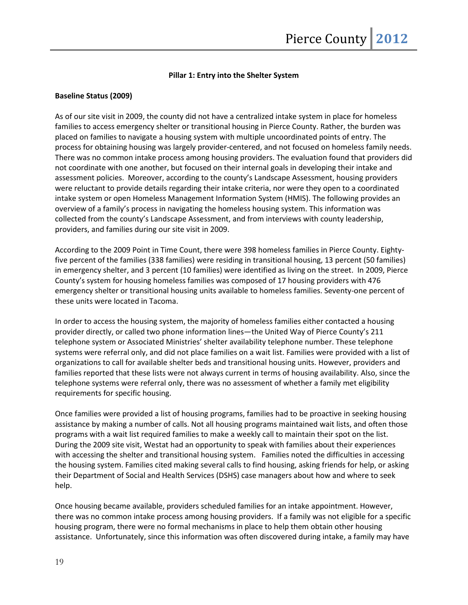## **Pillar 1: Entry into the Shelter System**

#### **Baseline Status (2009)**

As of our site visit in 2009, the county did not have a centralized intake system in place for homeless families to access emergency shelter or transitional housing in Pierce County. Rather, the burden was placed on families to navigate a housing system with multiple uncoordinated points of entry. The process for obtaining housing was largely provider-centered, and not focused on homeless family needs. There was no common intake process among housing providers. The evaluation found that providers did not coordinate with one another, but focused on their internal goals in developing their intake and assessment policies. Moreover, according to the county's Landscape Assessment, housing providers were reluctant to provide details regarding their intake criteria, nor were they open to a coordinated intake system or open Homeless Management Information System (HMIS). The following provides an overview of a family's process in navigating the homeless housing system. This information was collected from the county's Landscape Assessment, and from interviews with county leadership, providers, and families during our site visit in 2009.

According to the 2009 Point in Time Count, there were 398 homeless families in Pierce County. Eightyfive percent of the families (338 families) were residing in transitional housing, 13 percent (50 families) in emergency shelter, and 3 percent (10 families) were identified as living on the street. In 2009, Pierce County's system for housing homeless families was composed of 17 housing providers with 476 emergency shelter or transitional housing units available to homeless families. Seventy-one percent of these units were located in Tacoma.

In order to access the housing system, the majority of homeless families either contacted a housing provider directly, or called two phone information lines—the United Way of Pierce County's 211 telephone system or Associated Ministries' shelter availability telephone number. These telephone systems were referral only, and did not place families on a wait list. Families were provided with a list of organizations to call for available shelter beds and transitional housing units. However, providers and families reported that these lists were not always current in terms of housing availability. Also, since the telephone systems were referral only, there was no assessment of whether a family met eligibility requirements for specific housing.

Once families were provided a list of housing programs, families had to be proactive in seeking housing assistance by making a number of calls. Not all housing programs maintained wait lists, and often those programs with a wait list required families to make a weekly call to maintain their spot on the list. During the 2009 site visit, Westat had an opportunity to speak with families about their experiences with accessing the shelter and transitional housing system. Families noted the difficulties in accessing the housing system. Families cited making several calls to find housing, asking friends for help, or asking their Department of Social and Health Services (DSHS) case managers about how and where to seek help.

Once housing became available, providers scheduled families for an intake appointment. However, there was no common intake process among housing providers. If a family was not eligible for a specific housing program, there were no formal mechanisms in place to help them obtain other housing assistance. Unfortunately, since this information was often discovered during intake, a family may have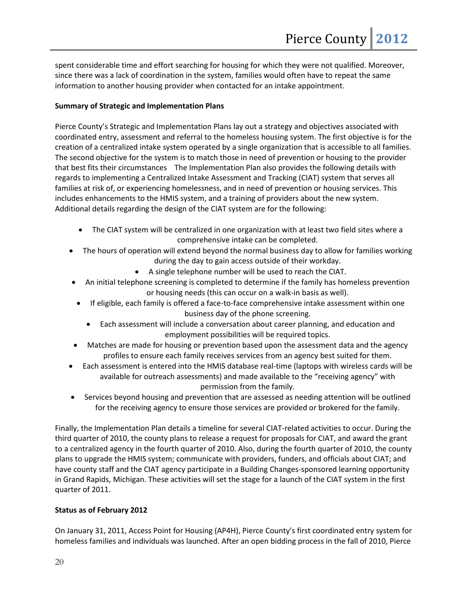spent considerable time and effort searching for housing for which they were not qualified. Moreover, since there was a lack of coordination in the system, families would often have to repeat the same information to another housing provider when contacted for an intake appointment.

## **Summary of Strategic and Implementation Plans**

Pierce County's Strategic and Implementation Plans lay out a strategy and objectives associated with coordinated entry, assessment and referral to the homeless housing system. The first objective is for the creation of a centralized intake system operated by a single organization that is accessible to all families. The second objective for the system is to match those in need of prevention or housing to the provider that best fits their circumstances The Implementation Plan also provides the following details with regards to implementing a Centralized Intake Assessment and Tracking (CIAT) system that serves all families at risk of, or experiencing homelessness, and in need of prevention or housing services. This includes enhancements to the HMIS system, and a training of providers about the new system. Additional details regarding the design of the CIAT system are for the following:

- The CIAT system will be centralized in one organization with at least two field sites where a comprehensive intake can be completed.
- The hours of operation will extend beyond the normal business day to allow for families working during the day to gain access outside of their workday.
	- A single telephone number will be used to reach the CIAT.
- An initial telephone screening is completed to determine if the family has homeless prevention or housing needs (this can occur on a walk-in basis as well).
- If eligible, each family is offered a face-to-face comprehensive intake assessment within one business day of the phone screening.
	- Each assessment will include a conversation about career planning, and education and employment possibilities will be required topics.
- Matches are made for housing or prevention based upon the assessment data and the agency profiles to ensure each family receives services from an agency best suited for them.
- Each assessment is entered into the HMIS database real-time (laptops with wireless cards will be available for outreach assessments) and made available to the "receiving agency" with permission from the family.
- Services beyond housing and prevention that are assessed as needing attention will be outlined for the receiving agency to ensure those services are provided or brokered for the family.

Finally, the Implementation Plan details a timeline for several CIAT-related activities to occur. During the third quarter of 2010, the county plans to release a request for proposals for CIAT, and award the grant to a centralized agency in the fourth quarter of 2010. Also, during the fourth quarter of 2010, the county plans to upgrade the HMIS system; communicate with providers, funders, and officials about CIAT; and have county staff and the CIAT agency participate in a Building Changes-sponsored learning opportunity in Grand Rapids, Michigan. These activities will set the stage for a launch of the CIAT system in the first quarter of 2011.

## **Status as of February 2012**

On January 31, 2011, Access Point for Housing (AP4H), Pierce County's first coordinated entry system for homeless families and individuals was launched. After an open bidding process in the fall of 2010, Pierce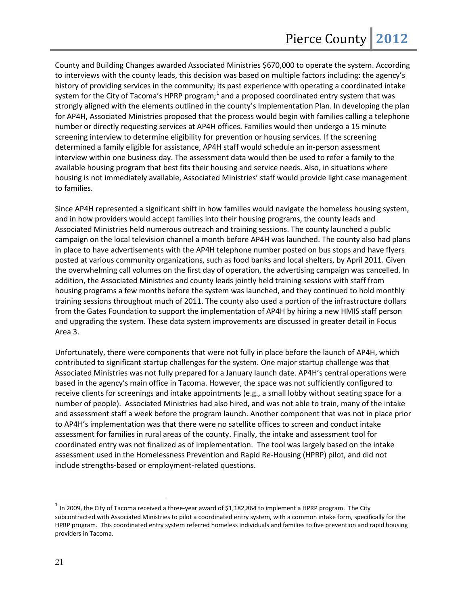County and Building Changes awarded Associated Ministries \$670,000 to operate the system. According to interviews with the county leads, this decision was based on multiple factors including: the agency's history of providing services in the community; its past experience with operating a coordinated intake system for the City of Tacoma's HPRP program;<sup>[1](#page-21-0)</sup> and a proposed coordinated entry system that was strongly aligned with the elements outlined in the county's Implementation Plan. In developing the plan for AP4H, Associated Ministries proposed that the process would begin with families calling a telephone number or directly requesting services at AP4H offices. Families would then undergo a 15 minute screening interview to determine eligibility for prevention or housing services. If the screening determined a family eligible for assistance, AP4H staff would schedule an in-person assessment interview within one business day. The assessment data would then be used to refer a family to the available housing program that best fits their housing and service needs. Also, in situations where housing is not immediately available, Associated Ministries' staff would provide light case management to families.

Since AP4H represented a significant shift in how families would navigate the homeless housing system, and in how providers would accept families into their housing programs, the county leads and Associated Ministries held numerous outreach and training sessions. The county launched a public campaign on the local television channel a month before AP4H was launched. The county also had plans in place to have advertisements with the AP4H telephone number posted on bus stops and have flyers posted at various community organizations, such as food banks and local shelters, by April 2011. Given the overwhelming call volumes on the first day of operation, the advertising campaign was cancelled. In addition, the Associated Ministries and county leads jointly held training sessions with staff from housing programs a few months before the system was launched, and they continued to hold monthly training sessions throughout much of 2011. The county also used a portion of the infrastructure dollars from the Gates Foundation to support the implementation of AP4H by hiring a new HMIS staff person and upgrading the system. These data system improvements are discussed in greater detail in Focus Area 3.

Unfortunately, there were components that were not fully in place before the launch of AP4H, which contributed to significant startup challenges for the system. One major startup challenge was that Associated Ministries was not fully prepared for a January launch date. AP4H's central operations were based in the agency's main office in Tacoma. However, the space was not sufficiently configured to receive clients for screenings and intake appointments (e.g., a small lobby without seating space for a number of people). Associated Ministries had also hired, and was not able to train, many of the intake and assessment staff a week before the program launch. Another component that was not in place prior to AP4H's implementation was that there were no satellite offices to screen and conduct intake assessment for families in rural areas of the county. Finally, the intake and assessment tool for coordinated entry was not finalized as of implementation. The tool was largely based on the intake assessment used in the Homelessness Prevention and Rapid Re-Housing (HPRP) pilot, and did not include strengths-based or employment-related questions.

 $\overline{a}$ 

<span id="page-21-0"></span> $1$  In 2009, the City of Tacoma received a three-year award of \$1,182,864 to implement a HPRP program. The City subcontracted with Associated Ministries to pilot a coordinated entry system, with a common intake form, specifically for the HPRP program. This coordinated entry system referred homeless individuals and families to five prevention and rapid housing providers in Tacoma.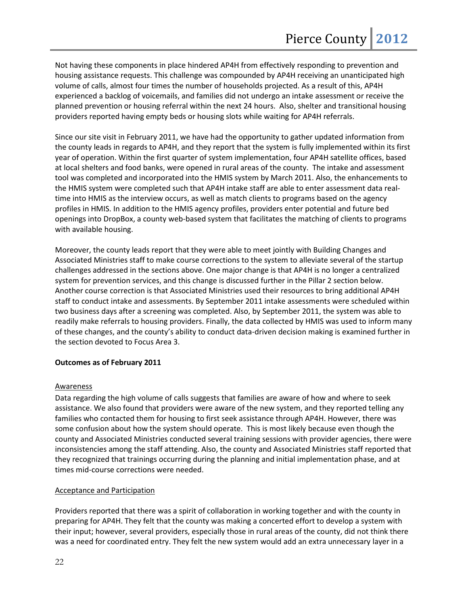Not having these components in place hindered AP4H from effectively responding to prevention and housing assistance requests. This challenge was compounded by AP4H receiving an unanticipated high volume of calls, almost four times the number of households projected. As a result of this, AP4H experienced a backlog of voicemails, and families did not undergo an intake assessment or receive the planned prevention or housing referral within the next 24 hours. Also, shelter and transitional housing providers reported having empty beds or housing slots while waiting for AP4H referrals.

Since our site visit in February 2011, we have had the opportunity to gather updated information from the county leads in regards to AP4H, and they report that the system is fully implemented within its first year of operation. Within the first quarter of system implementation, four AP4H satellite offices, based at local shelters and food banks, were opened in rural areas of the county. The intake and assessment tool was completed and incorporated into the HMIS system by March 2011. Also, the enhancements to the HMIS system were completed such that AP4H intake staff are able to enter assessment data realtime into HMIS as the interview occurs, as well as match clients to programs based on the agency profiles in HMIS. In addition to the HMIS agency profiles, providers enter potential and future bed openings into DropBox, a county web-based system that facilitates the matching of clients to programs with available housing.

Moreover, the county leads report that they were able to meet jointly with Building Changes and Associated Ministries staff to make course corrections to the system to alleviate several of the startup challenges addressed in the sections above. One major change is that AP4H is no longer a centralized system for prevention services, and this change is discussed further in the Pillar 2 section below. Another course correction is that Associated Ministries used their resources to bring additional AP4H staff to conduct intake and assessments. By September 2011 intake assessments were scheduled within two business days after a screening was completed. Also, by September 2011, the system was able to readily make referrals to housing providers. Finally, the data collected by HMIS was used to inform many of these changes, and the county's ability to conduct data-driven decision making is examined further in the section devoted to Focus Area 3.

## **Outcomes as of February 2011**

## **Awareness**

Data regarding the high volume of calls suggests that families are aware of how and where to seek assistance. We also found that providers were aware of the new system, and they reported telling any families who contacted them for housing to first seek assistance through AP4H. However, there was some confusion about how the system should operate. This is most likely because even though the county and Associated Ministries conducted several training sessions with provider agencies, there were inconsistencies among the staff attending. Also, the county and Associated Ministries staff reported that they recognized that trainings occurring during the planning and initial implementation phase, and at times mid-course corrections were needed.

## Acceptance and Participation

Providers reported that there was a spirit of collaboration in working together and with the county in preparing for AP4H. They felt that the county was making a concerted effort to develop a system with their input; however, several providers, especially those in rural areas of the county, did not think there was a need for coordinated entry. They felt the new system would add an extra unnecessary layer in a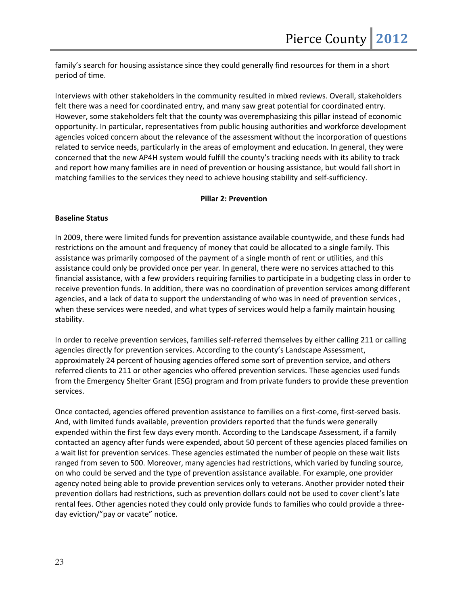family's search for housing assistance since they could generally find resources for them in a short period of time.

Interviews with other stakeholders in the community resulted in mixed reviews. Overall, stakeholders felt there was a need for coordinated entry, and many saw great potential for coordinated entry. However, some stakeholders felt that the county was overemphasizing this pillar instead of economic opportunity. In particular, representatives from public housing authorities and workforce development agencies voiced concern about the relevance of the assessment without the incorporation of questions related to service needs, particularly in the areas of employment and education. In general, they were concerned that the new AP4H system would fulfill the county's tracking needs with its ability to track and report how many families are in need of prevention or housing assistance, but would fall short in matching families to the services they need to achieve housing stability and self-sufficiency.

## **Pillar 2: Prevention**

## **Baseline Status**

In 2009, there were limited funds for prevention assistance available countywide, and these funds had restrictions on the amount and frequency of money that could be allocated to a single family. This assistance was primarily composed of the payment of a single month of rent or utilities, and this assistance could only be provided once per year. In general, there were no services attached to this financial assistance, with a few providers requiring families to participate in a budgeting class in order to receive prevention funds. In addition, there was no coordination of prevention services among different agencies, and a lack of data to support the understanding of who was in need of prevention services , when these services were needed, and what types of services would help a family maintain housing stability.

In order to receive prevention services, families self-referred themselves by either calling 211 or calling agencies directly for prevention services. According to the county's Landscape Assessment, approximately 24 percent of housing agencies offered some sort of prevention service, and others referred clients to 211 or other agencies who offered prevention services. These agencies used funds from the Emergency Shelter Grant (ESG) program and from private funders to provide these prevention services.

Once contacted, agencies offered prevention assistance to families on a first-come, first-served basis. And, with limited funds available, prevention providers reported that the funds were generally expended within the first few days every month. According to the Landscape Assessment, if a family contacted an agency after funds were expended, about 50 percent of these agencies placed families on a wait list for prevention services. These agencies estimated the number of people on these wait lists ranged from seven to 500. Moreover, many agencies had restrictions, which varied by funding source, on who could be served and the type of prevention assistance available. For example, one provider agency noted being able to provide prevention services only to veterans. Another provider noted their prevention dollars had restrictions, such as prevention dollars could not be used to cover client's late rental fees. Other agencies noted they could only provide funds to families who could provide a threeday eviction/"pay or vacate" notice.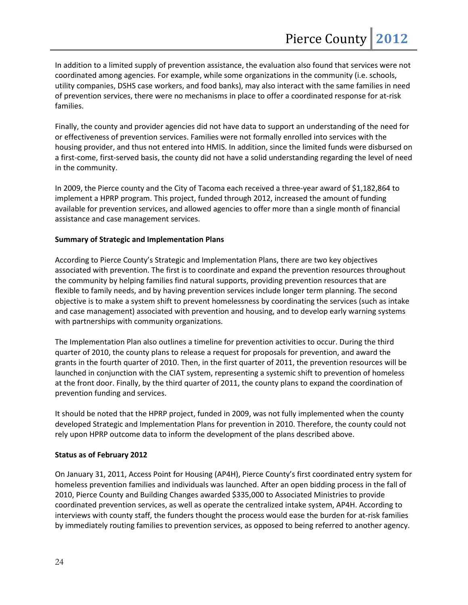In addition to a limited supply of prevention assistance, the evaluation also found that services were not coordinated among agencies. For example, while some organizations in the community (i.e. schools, utility companies, DSHS case workers, and food banks), may also interact with the same families in need of prevention services, there were no mechanisms in place to offer a coordinated response for at-risk families.

Finally, the county and provider agencies did not have data to support an understanding of the need for or effectiveness of prevention services. Families were not formally enrolled into services with the housing provider, and thus not entered into HMIS. In addition, since the limited funds were disbursed on a first-come, first-served basis, the county did not have a solid understanding regarding the level of need in the community.

In 2009, the Pierce county and the City of Tacoma each received a three-year award of \$1,182,864 to implement a HPRP program. This project, funded through 2012, increased the amount of funding available for prevention services, and allowed agencies to offer more than a single month of financial assistance and case management services.

## **Summary of Strategic and Implementation Plans**

According to Pierce County's Strategic and Implementation Plans, there are two key objectives associated with prevention. The first is to coordinate and expand the prevention resources throughout the community by helping families find natural supports, providing prevention resources that are flexible to family needs, and by having prevention services include longer term planning. The second objective is to make a system shift to prevent homelessness by coordinating the services (such as intake and case management) associated with prevention and housing, and to develop early warning systems with partnerships with community organizations.

The Implementation Plan also outlines a timeline for prevention activities to occur. During the third quarter of 2010, the county plans to release a request for proposals for prevention, and award the grants in the fourth quarter of 2010. Then, in the first quarter of 2011, the prevention resources will be launched in conjunction with the CIAT system, representing a systemic shift to prevention of homeless at the front door. Finally, by the third quarter of 2011, the county plans to expand the coordination of prevention funding and services.

It should be noted that the HPRP project, funded in 2009, was not fully implemented when the county developed Strategic and Implementation Plans for prevention in 2010. Therefore, the county could not rely upon HPRP outcome data to inform the development of the plans described above.

## **Status as of February 2012**

On January 31, 2011, Access Point for Housing (AP4H), Pierce County's first coordinated entry system for homeless prevention families and individuals was launched. After an open bidding process in the fall of 2010, Pierce County and Building Changes awarded \$335,000 to Associated Ministries to provide coordinated prevention services, as well as operate the centralized intake system, AP4H. According to interviews with county staff, the funders thought the process would ease the burden for at-risk families by immediately routing families to prevention services, as opposed to being referred to another agency.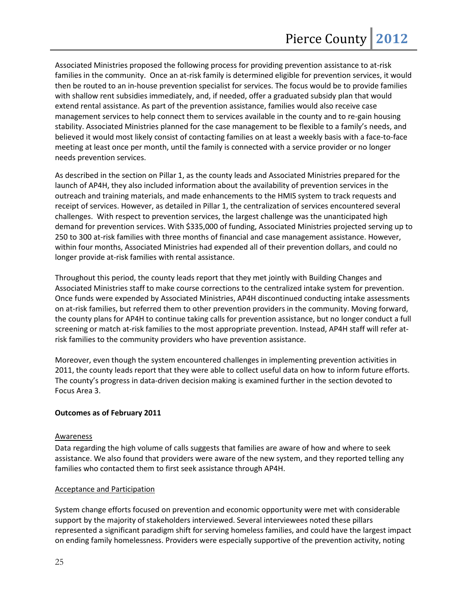Associated Ministries proposed the following process for providing prevention assistance to at-risk families in the community. Once an at-risk family is determined eligible for prevention services, it would then be routed to an in-house prevention specialist for services. The focus would be to provide families with shallow rent subsidies immediately, and, if needed, offer a graduated subsidy plan that would extend rental assistance. As part of the prevention assistance, families would also receive case management services to help connect them to services available in the county and to re-gain housing stability. Associated Ministries planned for the case management to be flexible to a family's needs, and believed it would most likely consist of contacting families on at least a weekly basis with a face-to-face meeting at least once per month, until the family is connected with a service provider or no longer needs prevention services.

As described in the section on Pillar 1, as the county leads and Associated Ministries prepared for the launch of AP4H, they also included information about the availability of prevention services in the outreach and training materials, and made enhancements to the HMIS system to track requests and receipt of services. However, as detailed in Pillar 1, the centralization of services encountered several challenges. With respect to prevention services, the largest challenge was the unanticipated high demand for prevention services. With \$335,000 of funding, Associated Ministries projected serving up to 250 to 300 at-risk families with three months of financial and case management assistance. However, within four months, Associated Ministries had expended all of their prevention dollars, and could no longer provide at-risk families with rental assistance.

Throughout this period, the county leads report that they met jointly with Building Changes and Associated Ministries staff to make course corrections to the centralized intake system for prevention. Once funds were expended by Associated Ministries, AP4H discontinued conducting intake assessments on at-risk families, but referred them to other prevention providers in the community. Moving forward, the county plans for AP4H to continue taking calls for prevention assistance, but no longer conduct a full screening or match at-risk families to the most appropriate prevention. Instead, AP4H staff will refer atrisk families to the community providers who have prevention assistance.

Moreover, even though the system encountered challenges in implementing prevention activities in 2011, the county leads report that they were able to collect useful data on how to inform future efforts. The county's progress in data-driven decision making is examined further in the section devoted to Focus Area 3.

## **Outcomes as of February 2011**

## Awareness

Data regarding the high volume of calls suggests that families are aware of how and where to seek assistance. We also found that providers were aware of the new system, and they reported telling any families who contacted them to first seek assistance through AP4H.

## Acceptance and Participation

System change efforts focused on prevention and economic opportunity were met with considerable support by the majority of stakeholders interviewed. Several interviewees noted these pillars represented a significant paradigm shift for serving homeless families, and could have the largest impact on ending family homelessness. Providers were especially supportive of the prevention activity, noting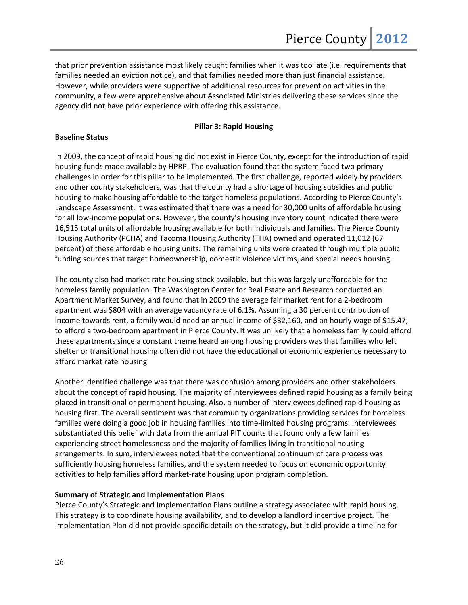that prior prevention assistance most likely caught families when it was too late (i.e. requirements that families needed an eviction notice), and that families needed more than just financial assistance. However, while providers were supportive of additional resources for prevention activities in the community, a few were apprehensive about Associated Ministries delivering these services since the agency did not have prior experience with offering this assistance.

## **Pillar 3: Rapid Housing**

## **Baseline Status**

In 2009, the concept of rapid housing did not exist in Pierce County, except for the introduction of rapid housing funds made available by HPRP. The evaluation found that the system faced two primary challenges in order for this pillar to be implemented. The first challenge, reported widely by providers and other county stakeholders, was that the county had a shortage of housing subsidies and public housing to make housing affordable to the target homeless populations. According to Pierce County's Landscape Assessment, it was estimated that there was a need for 30,000 units of affordable housing for all low-income populations. However, the county's housing inventory count indicated there were 16,515 total units of affordable housing available for both individuals and families. The Pierce County Housing Authority (PCHA) and Tacoma Housing Authority (THA) owned and operated 11,012 (67 percent) of these affordable housing units. The remaining units were created through multiple public funding sources that target homeownership, domestic violence victims, and special needs housing.

The county also had market rate housing stock available, but this was largely unaffordable for the homeless family population. The Washington Center for Real Estate and Research conducted an Apartment Market Survey, and found that in 2009 the average fair market rent for a 2-bedroom apartment was \$804 with an average vacancy rate of 6.1%. Assuming a 30 percent contribution of income towards rent, a family would need an annual income of \$32,160, and an hourly wage of \$15.47, to afford a two-bedroom apartment in Pierce County. It was unlikely that a homeless family could afford these apartments since a constant theme heard among housing providers was that families who left shelter or transitional housing often did not have the educational or economic experience necessary to afford market rate housing.

Another identified challenge was that there was confusion among providers and other stakeholders about the concept of rapid housing. The majority of interviewees defined rapid housing as a family being placed in transitional or permanent housing. Also, a number of interviewees defined rapid housing as housing first. The overall sentiment was that community organizations providing services for homeless families were doing a good job in housing families into time-limited housing programs. Interviewees substantiated this belief with data from the annual PIT counts that found only a few families experiencing street homelessness and the majority of families living in transitional housing arrangements. In sum, interviewees noted that the conventional continuum of care process was sufficiently housing homeless families, and the system needed to focus on economic opportunity activities to help families afford market-rate housing upon program completion.

## **Summary of Strategic and Implementation Plans**

Pierce County's Strategic and Implementation Plans outline a strategy associated with rapid housing. This strategy is to coordinate housing availability, and to develop a landlord incentive project. The Implementation Plan did not provide specific details on the strategy, but it did provide a timeline for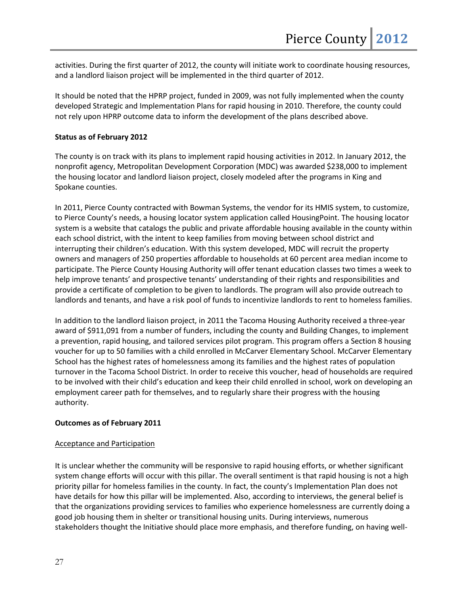activities. During the first quarter of 2012, the county will initiate work to coordinate housing resources, and a landlord liaison project will be implemented in the third quarter of 2012.

It should be noted that the HPRP project, funded in 2009, was not fully implemented when the county developed Strategic and Implementation Plans for rapid housing in 2010. Therefore, the county could not rely upon HPRP outcome data to inform the development of the plans described above.

## **Status as of February 2012**

The county is on track with its plans to implement rapid housing activities in 2012. In January 2012, the nonprofit agency, Metropolitan Development Corporation (MDC) was awarded \$238,000 to implement the housing locator and landlord liaison project, closely modeled after the programs in King and Spokane counties.

In 2011, Pierce County contracted with Bowman Systems, the vendor for its HMIS system, to customize, to Pierce County's needs, a housing locator system application called HousingPoint. The housing locator system is a website that catalogs the public and private affordable housing available in the county within each school district, with the intent to keep families from moving between school district and interrupting their children's education. With this system developed, MDC will recruit the property owners and managers of 250 properties affordable to households at 60 percent area median income to participate. The Pierce County Housing Authority will offer tenant education classes two times a week to help improve tenants' and prospective tenants' understanding of their rights and responsibilities and provide a certificate of completion to be given to landlords. The program will also provide outreach to landlords and tenants, and have a risk pool of funds to incentivize landlords to rent to homeless families.

In addition to the landlord liaison project, in 2011 the Tacoma Housing Authority received a three-year award of \$911,091 from a number of funders, including the county and Building Changes, to implement a prevention, rapid housing, and tailored services pilot program. This program offers a Section 8 housing voucher for up to 50 families with a child enrolled in McCarver Elementary School. McCarver Elementary School has the highest rates of homelessness among its families and the highest rates of population turnover in the Tacoma School District. In order to receive this voucher, head of households are required to be involved with their child's education and keep their child enrolled in school, work on developing an employment career path for themselves, and to regularly share their progress with the housing authority.

## **Outcomes as of February 2011**

## Acceptance and Participation

It is unclear whether the community will be responsive to rapid housing efforts, or whether significant system change efforts will occur with this pillar. The overall sentiment is that rapid housing is not a high priority pillar for homeless families in the county. In fact, the county's Implementation Plan does not have details for how this pillar will be implemented. Also, according to interviews, the general belief is that the organizations providing services to families who experience homelessness are currently doing a good job housing them in shelter or transitional housing units. During interviews, numerous stakeholders thought the Initiative should place more emphasis, and therefore funding, on having well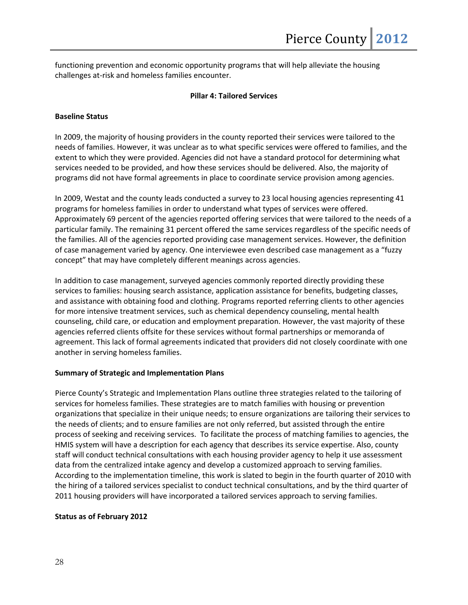functioning prevention and economic opportunity programs that will help alleviate the housing challenges at-risk and homeless families encounter.

## **Pillar 4: Tailored Services**

## **Baseline Status**

In 2009, the majority of housing providers in the county reported their services were tailored to the needs of families. However, it was unclear as to what specific services were offered to families, and the extent to which they were provided. Agencies did not have a standard protocol for determining what services needed to be provided, and how these services should be delivered. Also, the majority of programs did not have formal agreements in place to coordinate service provision among agencies.

In 2009, Westat and the county leads conducted a survey to 23 local housing agencies representing 41 programs for homeless families in order to understand what types of services were offered. Approximately 69 percent of the agencies reported offering services that were tailored to the needs of a particular family. The remaining 31 percent offered the same services regardless of the specific needs of the families. All of the agencies reported providing case management services. However, the definition of case management varied by agency. One interviewee even described case management as a "fuzzy concept" that may have completely different meanings across agencies.

In addition to case management, surveyed agencies commonly reported directly providing these services to families: housing search assistance, application assistance for benefits, budgeting classes, and assistance with obtaining food and clothing. Programs reported referring clients to other agencies for more intensive treatment services, such as chemical dependency counseling, mental health counseling, child care, or education and employment preparation. However, the vast majority of these agencies referred clients offsite for these services without formal partnerships or memoranda of agreement. This lack of formal agreements indicated that providers did not closely coordinate with one another in serving homeless families.

## **Summary of Strategic and Implementation Plans**

Pierce County's Strategic and Implementation Plans outline three strategies related to the tailoring of services for homeless families. These strategies are to match families with housing or prevention organizations that specialize in their unique needs; to ensure organizations are tailoring their services to the needs of clients; and to ensure families are not only referred, but assisted through the entire process of seeking and receiving services. To facilitate the process of matching families to agencies, the HMIS system will have a description for each agency that describes its service expertise. Also, county staff will conduct technical consultations with each housing provider agency to help it use assessment data from the centralized intake agency and develop a customized approach to serving families. According to the implementation timeline, this work is slated to begin in the fourth quarter of 2010 with the hiring of a tailored services specialist to conduct technical consultations, and by the third quarter of 2011 housing providers will have incorporated a tailored services approach to serving families.

## **Status as of February 2012**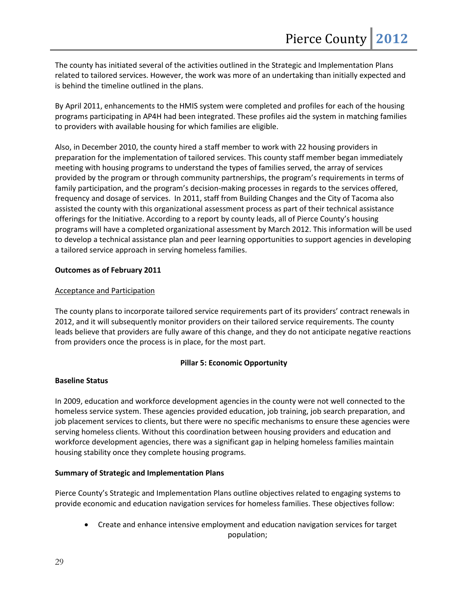The county has initiated several of the activities outlined in the Strategic and Implementation Plans related to tailored services. However, the work was more of an undertaking than initially expected and is behind the timeline outlined in the plans.

By April 2011, enhancements to the HMIS system were completed and profiles for each of the housing programs participating in AP4H had been integrated. These profiles aid the system in matching families to providers with available housing for which families are eligible.

Also, in December 2010, the county hired a staff member to work with 22 housing providers in preparation for the implementation of tailored services. This county staff member began immediately meeting with housing programs to understand the types of families served, the array of services provided by the program or through community partnerships, the program's requirements in terms of family participation, and the program's decision-making processes in regards to the services offered, frequency and dosage of services. In 2011, staff from Building Changes and the City of Tacoma also assisted the county with this organizational assessment process as part of their technical assistance offerings for the Initiative. According to a report by county leads, all of Pierce County's housing programs will have a completed organizational assessment by March 2012. This information will be used to develop a technical assistance plan and peer learning opportunities to support agencies in developing a tailored service approach in serving homeless families.

## **Outcomes as of February 2011**

## Acceptance and Participation

The county plans to incorporate tailored service requirements part of its providers' contract renewals in 2012, and it will subsequently monitor providers on their tailored service requirements. The county leads believe that providers are fully aware of this change, and they do not anticipate negative reactions from providers once the process is in place, for the most part.

## **Pillar 5: Economic Opportunity**

## **Baseline Status**

In 2009, education and workforce development agencies in the county were not well connected to the homeless service system. These agencies provided education, job training, job search preparation, and job placement services to clients, but there were no specific mechanisms to ensure these agencies were serving homeless clients. Without this coordination between housing providers and education and workforce development agencies, there was a significant gap in helping homeless families maintain housing stability once they complete housing programs.

## **Summary of Strategic and Implementation Plans**

Pierce County's Strategic and Implementation Plans outline objectives related to engaging systems to provide economic and education navigation services for homeless families. These objectives follow:

• Create and enhance intensive employment and education navigation services for target population;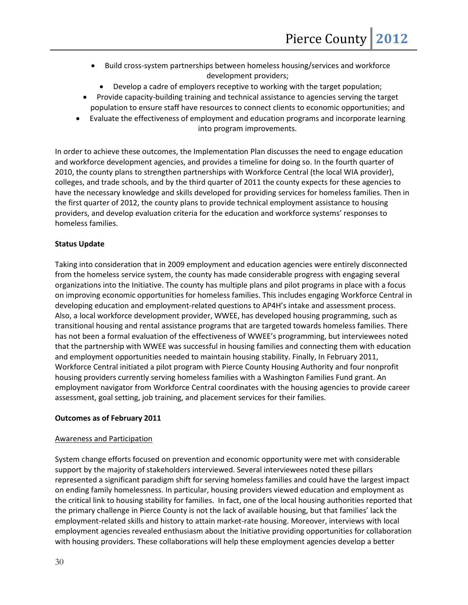- Build cross-system partnerships between homeless housing/services and workforce development providers;
	- Develop a cadre of employers receptive to working with the target population;
- Provide capacity-building training and technical assistance to agencies serving the target population to ensure staff have resources to connect clients to economic opportunities; and
- Evaluate the effectiveness of employment and education programs and incorporate learning into program improvements.

In order to achieve these outcomes, the Implementation Plan discusses the need to engage education and workforce development agencies, and provides a timeline for doing so. In the fourth quarter of 2010, the county plans to strengthen partnerships with Workforce Central (the local WIA provider), colleges, and trade schools, and by the third quarter of 2011 the county expects for these agencies to have the necessary knowledge and skills developed for providing services for homeless families. Then in the first quarter of 2012, the county plans to provide technical employment assistance to housing providers, and develop evaluation criteria for the education and workforce systems' responses to homeless families.

## **Status Update**

Taking into consideration that in 2009 employment and education agencies were entirely disconnected from the homeless service system, the county has made considerable progress with engaging several organizations into the Initiative. The county has multiple plans and pilot programs in place with a focus on improving economic opportunities for homeless families. This includes engaging Workforce Central in developing education and employment-related questions to AP4H's intake and assessment process. Also, a local workforce development provider, WWEE, has developed housing programming, such as transitional housing and rental assistance programs that are targeted towards homeless families. There has not been a formal evaluation of the effectiveness of WWEE's programming, but interviewees noted that the partnership with WWEE was successful in housing families and connecting them with education and employment opportunities needed to maintain housing stability. Finally, In February 2011, Workforce Central initiated a pilot program with Pierce County Housing Authority and four nonprofit housing providers currently serving homeless families with a Washington Families Fund grant. An employment navigator from Workforce Central coordinates with the housing agencies to provide career assessment, goal setting, job training, and placement services for their families.

## **Outcomes as of February 2011**

## Awareness and Participation

System change efforts focused on prevention and economic opportunity were met with considerable support by the majority of stakeholders interviewed. Several interviewees noted these pillars represented a significant paradigm shift for serving homeless families and could have the largest impact on ending family homelessness. In particular, housing providers viewed education and employment as the critical link to housing stability for families. In fact, one of the local housing authorities reported that the primary challenge in Pierce County is not the lack of available housing, but that families' lack the employment-related skills and history to attain market-rate housing. Moreover, interviews with local employment agencies revealed enthusiasm about the Initiative providing opportunities for collaboration with housing providers. These collaborations will help these employment agencies develop a better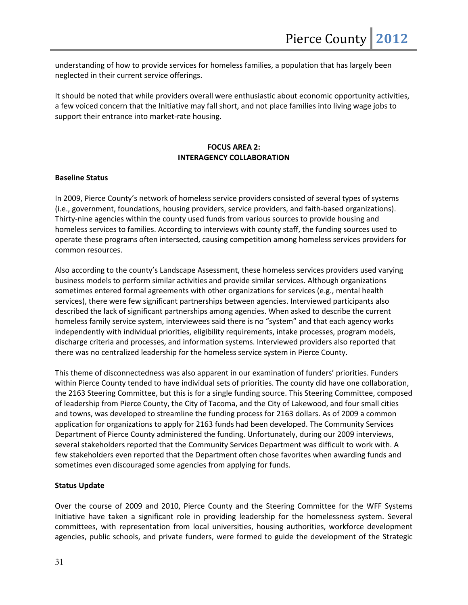understanding of how to provide services for homeless families, a population that has largely been neglected in their current service offerings.

It should be noted that while providers overall were enthusiastic about economic opportunity activities, a few voiced concern that the Initiative may fall short, and not place families into living wage jobs to support their entrance into market-rate housing.

## **FOCUS AREA 2: INTERAGENCY COLLABORATION**

## **Baseline Status**

In 2009, Pierce County's network of homeless service providers consisted of several types of systems (i.e., government, foundations, housing providers, service providers, and faith-based organizations). Thirty-nine agencies within the county used funds from various sources to provide housing and homeless services to families. According to interviews with county staff, the funding sources used to operate these programs often intersected, causing competition among homeless services providers for common resources.

Also according to the county's Landscape Assessment, these homeless services providers used varying business models to perform similar activities and provide similar services. Although organizations sometimes entered formal agreements with other organizations for services (e.g., mental health services), there were few significant partnerships between agencies. Interviewed participants also described the lack of significant partnerships among agencies. When asked to describe the current homeless family service system, interviewees said there is no "system" and that each agency works independently with individual priorities, eligibility requirements, intake processes, program models, discharge criteria and processes, and information systems. Interviewed providers also reported that there was no centralized leadership for the homeless service system in Pierce County.

This theme of disconnectedness was also apparent in our examination of funders' priorities. Funders within Pierce County tended to have individual sets of priorities. The county did have one collaboration, the 2163 Steering Committee, but this is for a single funding source. This Steering Committee, composed of leadership from Pierce County, the City of Tacoma, and the City of Lakewood, and four small cities and towns, was developed to streamline the funding process for 2163 dollars. As of 2009 a common application for organizations to apply for 2163 funds had been developed. The Community Services Department of Pierce County administered the funding. Unfortunately, during our 2009 interviews, several stakeholders reported that the Community Services Department was difficult to work with. A few stakeholders even reported that the Department often chose favorites when awarding funds and sometimes even discouraged some agencies from applying for funds.

## **Status Update**

Over the course of 2009 and 2010, Pierce County and the Steering Committee for the WFF Systems Initiative have taken a significant role in providing leadership for the homelessness system. Several committees, with representation from local universities, housing authorities, workforce development agencies, public schools, and private funders, were formed to guide the development of the Strategic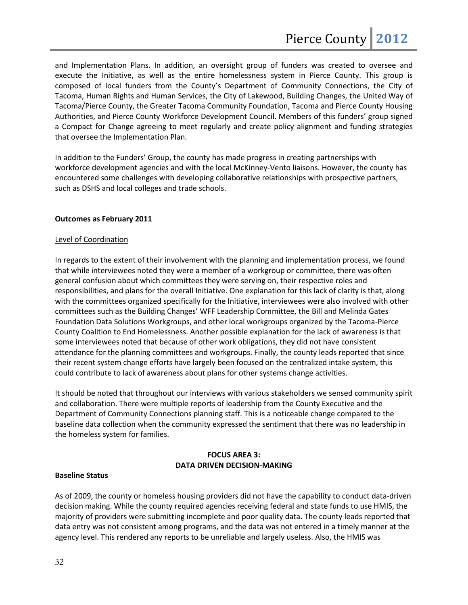and Implementation Plans. In addition, an oversight group of funders was created to oversee and execute the Initiative, as well as the entire homelessness system in Pierce County. This group is composed of local funders from the County's Department of Community Connections, the City of Tacoma, Human Rights and Human Services, the City of Lakewood, Building Changes, the United Way of Tacoma/Pierce County, the Greater Tacoma Community Foundation, Tacoma and Pierce County Housing Authorities, and Pierce County Workforce Development Council. Members of this funders' group signed a Compact for Change agreeing to meet regularly and create policy alignment and funding strategies that oversee the Implementation Plan.

In addition to the Funders' Group, the county has made progress in creating partnerships with workforce development agencies and with the local McKinney-Vento liaisons. However, the county has encountered some challenges with developing collaborative relationships with prospective partners, such as DSHS and local colleges and trade schools.

## **Outcomes as February 2011**

## Level of Coordination

In regards to the extent of their involvement with the planning and implementation process, we found that while interviewees noted they were a member of a workgroup or committee, there was often general confusion about which committees they were serving on, their respective roles and responsibilities, and plans for the overall Initiative. One explanation for this lack of clarity is that, along with the committees organized specifically for the Initiative, interviewees were also involved with other committees such as the Building Changes' WFF Leadership Committee, the Bill and Melinda Gates Foundation Data Solutions Workgroups, and other local workgroups organized by the Tacoma-Pierce County Coalition to End Homelessness. Another possible explanation for the lack of awareness is that some interviewees noted that because of other work obligations, they did not have consistent attendance for the planning committees and workgroups. Finally, the county leads reported that since their recent system change efforts have largely been focused on the centralized intake system, this could contribute to lack of awareness about plans for other systems change activities.

It should be noted that throughout our interviews with various stakeholders we sensed community spirit and collaboration. There were multiple reports of leadership from the County Executive and the Department of Community Connections planning staff. This is a noticeable change compared to the baseline data collection when the community expressed the sentiment that there was no leadership in the homeless system for families.

## **FOCUS AREA 3: DATA DRIVEN DECISION-MAKING**

## **Baseline Status**

As of 2009, the county or homeless housing providers did not have the capability to conduct data-driven decision making. While the county required agencies receiving federal and state funds to use HMIS, the majority of providers were submitting incomplete and poor quality data. The county leads reported that data entry was not consistent among programs, and the data was not entered in a timely manner at the agency level. This rendered any reports to be unreliable and largely useless. Also, the HMIS was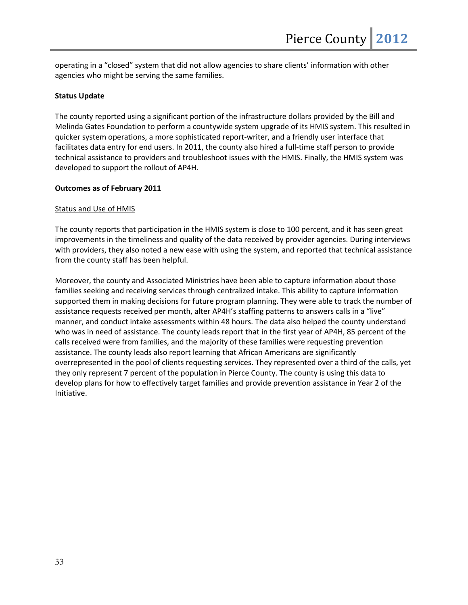operating in a "closed" system that did not allow agencies to share clients' information with other agencies who might be serving the same families.

## **Status Update**

The county reported using a significant portion of the infrastructure dollars provided by the Bill and Melinda Gates Foundation to perform a countywide system upgrade of its HMIS system. This resulted in quicker system operations, a more sophisticated report-writer, and a friendly user interface that facilitates data entry for end users. In 2011, the county also hired a full-time staff person to provide technical assistance to providers and troubleshoot issues with the HMIS. Finally, the HMIS system was developed to support the rollout of AP4H.

## **Outcomes as of February 2011**

## Status and Use of HMIS

The county reports that participation in the HMIS system is close to 100 percent, and it has seen great improvements in the timeliness and quality of the data received by provider agencies. During interviews with providers, they also noted a new ease with using the system, and reported that technical assistance from the county staff has been helpful.

Moreover, the county and Associated Ministries have been able to capture information about those families seeking and receiving services through centralized intake. This ability to capture information supported them in making decisions for future program planning. They were able to track the number of assistance requests received per month, alter AP4H's staffing patterns to answers calls in a "live" manner, and conduct intake assessments within 48 hours. The data also helped the county understand who was in need of assistance. The county leads report that in the first year of AP4H, 85 percent of the calls received were from families, and the majority of these families were requesting prevention assistance. The county leads also report learning that African Americans are significantly overrepresented in the pool of clients requesting services. They represented over a third of the calls, yet they only represent 7 percent of the population in Pierce County. The county is using this data to develop plans for how to effectively target families and provide prevention assistance in Year 2 of the Initiative.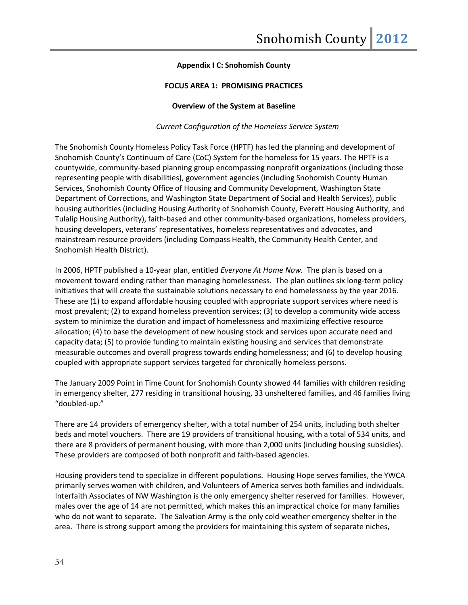## **Appendix I C: Snohomish County**

## **FOCUS AREA 1: PROMISING PRACTICES**

#### **Overview of the System at Baseline**

*Current Configuration of the Homeless Service System*

The Snohomish County Homeless Policy Task Force (HPTF) has led the planning and development of Snohomish County's Continuum of Care (CoC) System for the homeless for 15 years. The HPTF is a countywide, community-based planning group encompassing nonprofit organizations (including those representing people with disabilities), government agencies (including Snohomish County Human Services, Snohomish County Office of Housing and Community Development, Washington State Department of Corrections, and Washington State Department of Social and Health Services), public housing authorities (including Housing Authority of Snohomish County, Everett Housing Authority, and Tulalip Housing Authority), faith-based and other community-based organizations, homeless providers, housing developers, veterans' representatives, homeless representatives and advocates, and mainstream resource providers (including Compass Health, the Community Health Center, and Snohomish Health District).

In 2006, HPTF published a 10-year plan, entitled *Everyone At Home Now.* The plan is based on a movement toward ending rather than managing homelessness. The plan outlines six long-term policy initiatives that will create the sustainable solutions necessary to end homelessness by the year 2016. These are (1) to expand affordable housing coupled with appropriate support services where need is most prevalent; (2) to expand homeless prevention services; (3) to develop a community wide access system to minimize the duration and impact of homelessness and maximizing effective resource allocation; (4) to base the development of new housing stock and services upon accurate need and capacity data; (5) to provide funding to maintain existing housing and services that demonstrate measurable outcomes and overall progress towards ending homelessness; and (6) to develop housing coupled with appropriate support services targeted for chronically homeless persons.

The January 2009 Point in Time Count for Snohomish County showed 44 families with children residing in emergency shelter, 277 residing in transitional housing, 33 unsheltered families, and 46 families living "doubled-up."

There are 14 providers of emergency shelter, with a total number of 254 units, including both shelter beds and motel vouchers. There are 19 providers of transitional housing, with a total of 534 units, and there are 8 providers of permanent housing, with more than 2,000 units (including housing subsidies). These providers are composed of both nonprofit and faith-based agencies.

Housing providers tend to specialize in different populations. Housing Hope serves families, the YWCA primarily serves women with children, and Volunteers of America serves both families and individuals. Interfaith Associates of NW Washington is the only emergency shelter reserved for families. However, males over the age of 14 are not permitted, which makes this an impractical choice for many families who do not want to separate. The Salvation Army is the only cold weather emergency shelter in the area. There is strong support among the providers for maintaining this system of separate niches,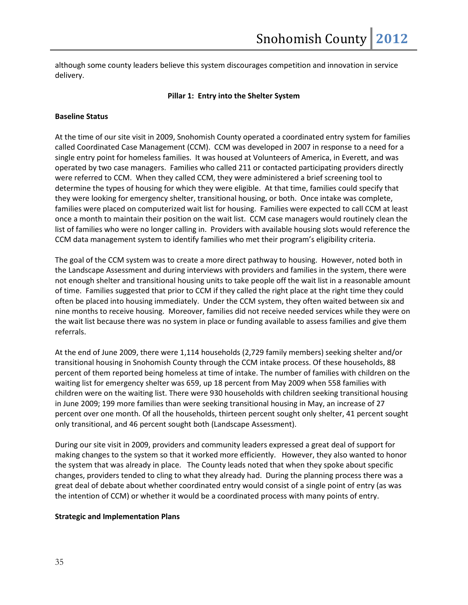although some county leaders believe this system discourages competition and innovation in service delivery.

## **Pillar 1: Entry into the Shelter System**

## **Baseline Status**

At the time of our site visit in 2009, Snohomish County operated a coordinated entry system for families called Coordinated Case Management (CCM). CCM was developed in 2007 in response to a need for a single entry point for homeless families. It was housed at Volunteers of America, in Everett, and was operated by two case managers. Families who called 211 or contacted participating providers directly were referred to CCM. When they called CCM, they were administered a brief screening tool to determine the types of housing for which they were eligible. At that time, families could specify that they were looking for emergency shelter, transitional housing, or both. Once intake was complete, families were placed on computerized wait list for housing. Families were expected to call CCM at least once a month to maintain their position on the wait list. CCM case managers would routinely clean the list of families who were no longer calling in. Providers with available housing slots would reference the CCM data management system to identify families who met their program's eligibility criteria.

The goal of the CCM system was to create a more direct pathway to housing. However, noted both in the Landscape Assessment and during interviews with providers and families in the system, there were not enough shelter and transitional housing units to take people off the wait list in a reasonable amount of time. Families suggested that prior to CCM if they called the right place at the right time they could often be placed into housing immediately. Under the CCM system, they often waited between six and nine months to receive housing. Moreover, families did not receive needed services while they were on the wait list because there was no system in place or funding available to assess families and give them referrals.

At the end of June 2009, there were 1,114 households (2,729 family members) seeking shelter and/or transitional housing in Snohomish County through the CCM intake process. Of these households, 88 percent of them reported being homeless at time of intake. The number of families with children on the waiting list for emergency shelter was 659, up 18 percent from May 2009 when 558 families with children were on the waiting list. There were 930 households with children seeking transitional housing in June 2009; 199 more families than were seeking transitional housing in May, an increase of 27 percent over one month. Of all the households, thirteen percent sought only shelter, 41 percent sought only transitional, and 46 percent sought both (Landscape Assessment).

During our site visit in 2009, providers and community leaders expressed a great deal of support for making changes to the system so that it worked more efficiently. However, they also wanted to honor the system that was already in place. The County leads noted that when they spoke about specific changes, providers tended to cling to what they already had. During the planning process there was a great deal of debate about whether coordinated entry would consist of a single point of entry (as was the intention of CCM) or whether it would be a coordinated process with many points of entry.

## **Strategic and Implementation Plans**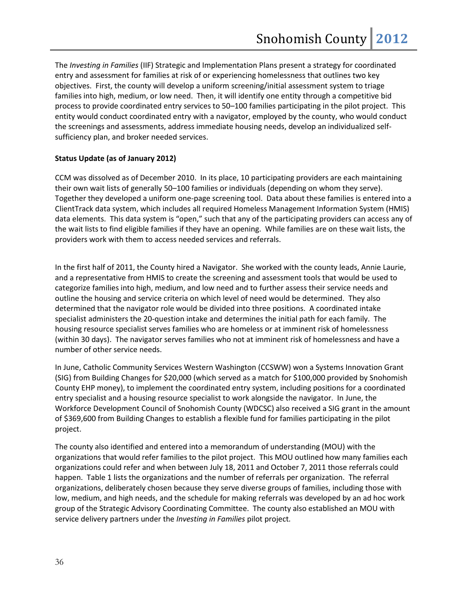The *Investing in Families* (IIF) Strategic and Implementation Plans present a strategy for coordinated entry and assessment for families at risk of or experiencing homelessness that outlines two key objectives. First, the county will develop a uniform screening/initial assessment system to triage families into high, medium, or low need. Then, it will identify one entity through a competitive bid process to provide coordinated entry services to 50–100 families participating in the pilot project. This entity would conduct coordinated entry with a navigator, employed by the county, who would conduct the screenings and assessments, address immediate housing needs, develop an individualized selfsufficiency plan, and broker needed services.

## **Status Update (as of January 2012)**

CCM was dissolved as of December 2010. In its place, 10 participating providers are each maintaining their own wait lists of generally 50–100 families or individuals (depending on whom they serve). Together they developed a uniform one-page screening tool. Data about these families is entered into a ClientTrack data system, which includes all required Homeless Management Information System (HMIS) data elements. This data system is "open," such that any of the participating providers can access any of the wait lists to find eligible families if they have an opening. While families are on these wait lists, the providers work with them to access needed services and referrals.

In the first half of 2011, the County hired a Navigator. She worked with the county leads, Annie Laurie, and a representative from HMIS to create the screening and assessment tools that would be used to categorize families into high, medium, and low need and to further assess their service needs and outline the housing and service criteria on which level of need would be determined. They also determined that the navigator role would be divided into three positions. A coordinated intake specialist administers the 20-question intake and determines the initial path for each family. The housing resource specialist serves families who are homeless or at imminent risk of homelessness (within 30 days). The navigator serves families who not at imminent risk of homelessness and have a number of other service needs.

In June, Catholic Community Services Western Washington (CCSWW) won a Systems Innovation Grant (SIG) from Building Changes for \$20,000 (which served as a match for \$100,000 provided by Snohomish County EHP money), to implement the coordinated entry system, including positions for a coordinated entry specialist and a housing resource specialist to work alongside the navigator. In June, the Workforce Development Council of Snohomish County (WDCSC) also received a SIG grant in the amount of \$369,600 from Building Changes to establish a flexible fund for families participating in the pilot project.

The county also identified and entered into a memorandum of understanding (MOU) with the organizations that would refer families to the pilot project. This MOU outlined how many families each organizations could refer and when between July 18, 2011 and October 7, 2011 those referrals could happen. Table 1 lists the organizations and the number of referrals per organization. The referral organizations, deliberately chosen because they serve diverse groups of families, including those with low, medium, and high needs, and the schedule for making referrals was developed by an ad hoc work group of the Strategic Advisory Coordinating Committee. The county also established an MOU with service delivery partners under the *Investing in Families* pilot project*.*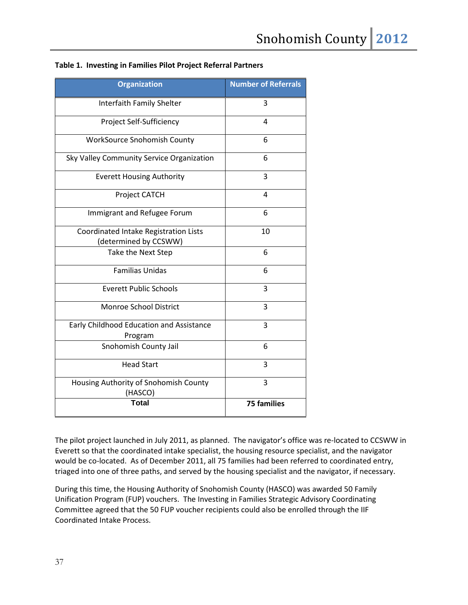| <b>Organization</b>                                            | <b>Number of Referrals</b> |
|----------------------------------------------------------------|----------------------------|
| Interfaith Family Shelter                                      | 3                          |
| Project Self-Sufficiency                                       | 4                          |
| <b>WorkSource Snohomish County</b>                             | 6                          |
| Sky Valley Community Service Organization                      | 6                          |
| <b>Everett Housing Authority</b>                               | 3                          |
| Project CATCH                                                  | 4                          |
| Immigrant and Refugee Forum                                    | 6                          |
| Coordinated Intake Registration Lists<br>(determined by CCSWW) | 10                         |
| Take the Next Step                                             | 6                          |
| <b>Familias Unidas</b>                                         | 6                          |
| <b>Everett Public Schools</b>                                  | 3                          |
| Monroe School District                                         | 3                          |
| Early Childhood Education and Assistance<br>Program            | 3                          |
| Snohomish County Jail                                          | 6                          |
| <b>Head Start</b>                                              | 3                          |
| Housing Authority of Snohomish County<br>(HASCO)               | 3                          |
| <b>Total</b>                                                   | <b>75 families</b>         |

## **Table 1. Investing in Families Pilot Project Referral Partners**

The pilot project launched in July 2011, as planned. The navigator's office was re-located to CCSWW in Everett so that the coordinated intake specialist, the housing resource specialist, and the navigator would be co-located. As of December 2011, all 75 families had been referred to coordinated entry, triaged into one of three paths, and served by the housing specialist and the navigator, if necessary.

During this time, the Housing Authority of Snohomish County (HASCO) was awarded 50 Family Unification Program (FUP) vouchers. The Investing in Families Strategic Advisory Coordinating Committee agreed that the 50 FUP voucher recipients could also be enrolled through the IIF Coordinated Intake Process.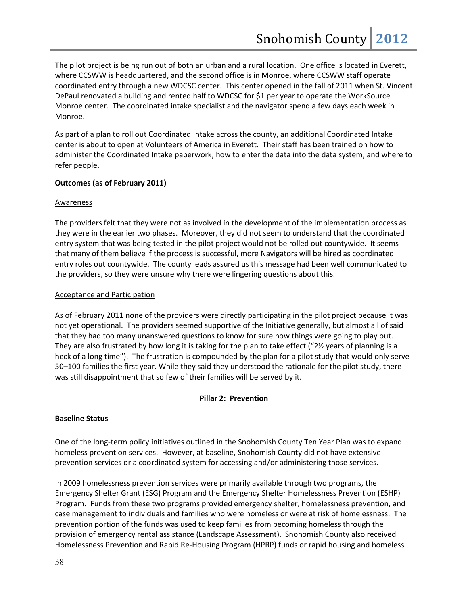The pilot project is being run out of both an urban and a rural location. One office is located in Everett, where CCSWW is headquartered, and the second office is in Monroe, where CCSWW staff operate coordinated entry through a new WDCSC center. This center opened in the fall of 2011 when St. Vincent DePaul renovated a building and rented half to WDCSC for \$1 per year to operate the WorkSource Monroe center. The coordinated intake specialist and the navigator spend a few days each week in Monroe.

As part of a plan to roll out Coordinated Intake across the county, an additional Coordinated Intake center is about to open at Volunteers of America in Everett. Their staff has been trained on how to administer the Coordinated Intake paperwork, how to enter the data into the data system, and where to refer people.

## **Outcomes (as of February 2011)**

## **Awareness**

The providers felt that they were not as involved in the development of the implementation process as they were in the earlier two phases. Moreover, they did not seem to understand that the coordinated entry system that was being tested in the pilot project would not be rolled out countywide. It seems that many of them believe if the process is successful, more Navigators will be hired as coordinated entry roles out countywide. The county leads assured us this message had been well communicated to the providers, so they were unsure why there were lingering questions about this.

## Acceptance and Participation

As of February 2011 none of the providers were directly participating in the pilot project because it was not yet operational. The providers seemed supportive of the Initiative generally, but almost all of said that they had too many unanswered questions to know for sure how things were going to play out. They are also frustrated by how long it is taking for the plan to take effect ("2½ years of planning is a heck of a long time"). The frustration is compounded by the plan for a pilot study that would only serve 50–100 families the first year. While they said they understood the rationale for the pilot study, there was still disappointment that so few of their families will be served by it.

## **Pillar 2: Prevention**

## **Baseline Status**

One of the long-term policy initiatives outlined in the Snohomish County Ten Year Plan was to expand homeless prevention services. However, at baseline, Snohomish County did not have extensive prevention services or a coordinated system for accessing and/or administering those services.

In 2009 homelessness prevention services were primarily available through two programs, the Emergency Shelter Grant (ESG) Program and the Emergency Shelter Homelessness Prevention (ESHP) Program. Funds from these two programs provided emergency shelter, homelessness prevention, and case management to individuals and families who were homeless or were at risk of homelessness. The prevention portion of the funds was used to keep families from becoming homeless through the provision of emergency rental assistance (Landscape Assessment). Snohomish County also received Homelessness Prevention and Rapid Re-Housing Program (HPRP) funds or rapid housing and homeless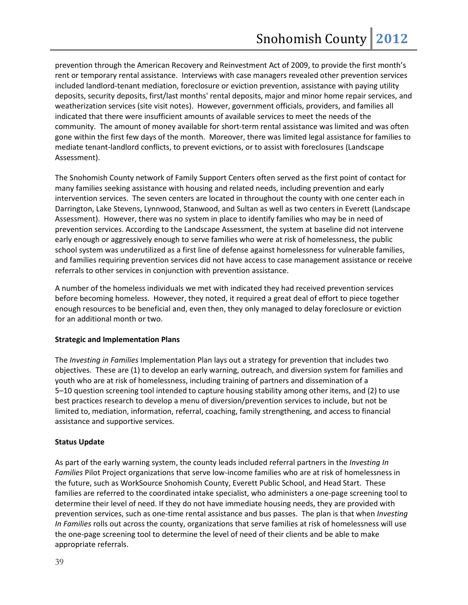prevention through the American Recovery and Reinvestment Act of 2009, to provide the first month's rent or temporary rental assistance. Interviews with case managers revealed other prevention services included landlord-tenant mediation, foreclosure or eviction prevention, assistance with paying utility deposits, security deposits, first/last months' rental deposits, major and minor home repair services, and weatherization services (site visit notes). However, government officials, providers, and families all indicated that there were insufficient amounts of available services to meet the needs of the community. The amount of money available for short-term rental assistance was limited and was often gone within the first few days of the month. Moreover, there was limited legal assistance for families to mediate tenant-landlord conflicts, to prevent evictions, or to assist with foreclosures (Landscape Assessment).

The Snohomish County network of Family Support Centers often served as the first point of contact for many families seeking assistance with housing and related needs, including prevention and early intervention services. The seven centers are located in throughout the county with one center each in Darrington, Lake Stevens, Lynnwood, Stanwood, and Sultan as well as two centers in Everett (Landscape Assessment). However, there was no system in place to identify families who may be in need of prevention services. According to the Landscape Assessment, the system at baseline did not intervene early enough or aggressively enough to serve families who were at risk of homelessness, the public school system was underutilized as a first line of defense against homelessness for vulnerable families, and families requiring prevention services did not have access to case management assistance or receive referrals to other services in conjunction with prevention assistance.

A number of the homeless individuals we met with indicated they had received prevention services before becoming homeless. However, they noted, it required a great deal of effort to piece together enough resources to be beneficial and, even then, they only managed to delay foreclosure or eviction for an additional month or two.

## **Strategic and Implementation Plans**

The *Investing in Families* Implementation Plan lays out a strategy for prevention that includes two objectives. These are (1) to develop an early warning, outreach, and diversion system for families and youth who are at risk of homelessness, including training of partners and dissemination of a 5–10 question screening tool intended to capture housing stability among other items, and (2) to use best practices research to develop a menu of diversion/prevention services to include, but not be limited to, mediation, information, referral, coaching, family strengthening, and access to financial assistance and supportive services.

## **Status Update**

As part of the early warning system, the county leads included referral partners in the *Investing In Families* Pilot Project organizations that serve low-income families who are at risk of homelessness in the future, such as WorkSource Snohomish County, Everett Public School, and Head Start. These families are referred to the coordinated intake specialist, who administers a one-page screening tool to determine their level of need. If they do not have immediate housing needs, they are provided with prevention services, such as one-time rental assistance and bus passes. The plan is that when *Investing In Families* rolls out across the county, organizations that serve families at risk of homelessness will use the one-page screening tool to determine the level of need of their clients and be able to make appropriate referrals.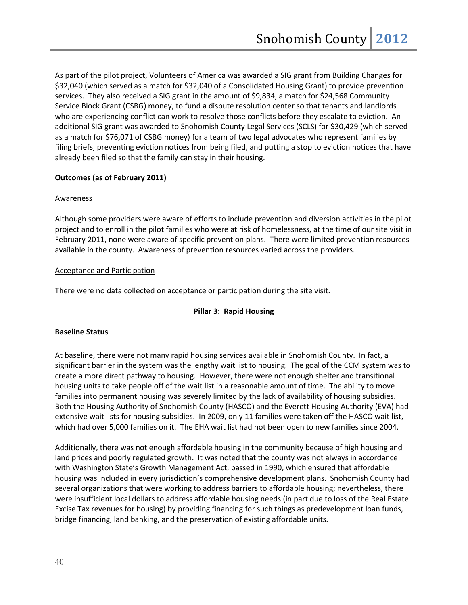As part of the pilot project, Volunteers of America was awarded a SIG grant from Building Changes for \$32,040 (which served as a match for \$32,040 of a Consolidated Housing Grant) to provide prevention services. They also received a SIG grant in the amount of \$9,834, a match for \$24,568 Community Service Block Grant (CSBG) money, to fund a dispute resolution center so that tenants and landlords who are experiencing conflict can work to resolve those conflicts before they escalate to eviction. An additional SIG grant was awarded to Snohomish County Legal Services (SCLS) for \$30,429 (which served as a match for \$76,071 of CSBG money) for a team of two legal advocates who represent families by filing briefs, preventing eviction notices from being filed, and putting a stop to eviction notices that have already been filed so that the family can stay in their housing.

## **Outcomes (as of February 2011)**

## Awareness

Although some providers were aware of efforts to include prevention and diversion activities in the pilot project and to enroll in the pilot families who were at risk of homelessness, at the time of our site visit in February 2011, none were aware of specific prevention plans. There were limited prevention resources available in the county. Awareness of prevention resources varied across the providers.

## Acceptance and Participation

There were no data collected on acceptance or participation during the site visit.

## **Pillar 3: Rapid Housing**

## **Baseline Status**

At baseline, there were not many rapid housing services available in Snohomish County. In fact, a significant barrier in the system was the lengthy wait list to housing. The goal of the CCM system was to create a more direct pathway to housing. However, there were not enough shelter and transitional housing units to take people off of the wait list in a reasonable amount of time. The ability to move families into permanent housing was severely limited by the lack of availability of housing subsidies. Both the Housing Authority of Snohomish County (HASCO) and the Everett Housing Authority (EVA) had extensive wait lists for housing subsidies. In 2009, only 11 families were taken off the HASCO wait list, which had over 5,000 families on it. The EHA wait list had not been open to new families since 2004.

Additionally, there was not enough affordable housing in the community because of high housing and land prices and poorly regulated growth. It was noted that the county was not always in accordance with Washington State's Growth Management Act, passed in 1990, which ensured that affordable housing was included in every jurisdiction's comprehensive development plans. Snohomish County had several organizations that were working to address barriers to affordable housing; nevertheless, there were insufficient local dollars to address affordable housing needs (in part due to loss of the Real Estate Excise Tax revenues for housing) by providing financing for such things as predevelopment loan funds, bridge financing, land banking, and the preservation of existing affordable units.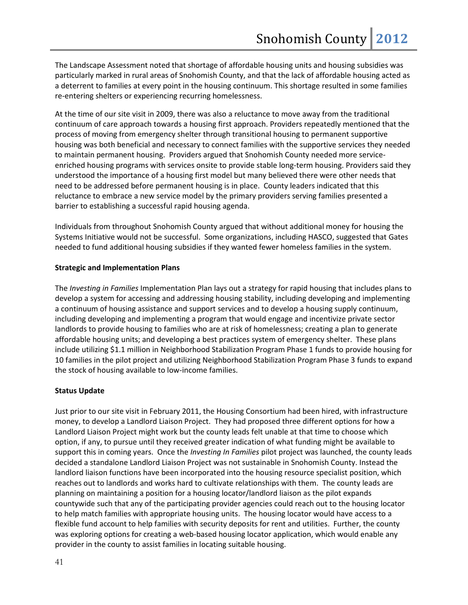The Landscape Assessment noted that shortage of affordable housing units and housing subsidies was particularly marked in rural areas of Snohomish County, and that the lack of affordable housing acted as a deterrent to families at every point in the housing continuum. This shortage resulted in some families re-entering shelters or experiencing recurring homelessness.

At the time of our site visit in 2009, there was also a reluctance to move away from the traditional continuum of care approach towards a housing first approach. Providers repeatedly mentioned that the process of moving from emergency shelter through transitional housing to permanent supportive housing was both beneficial and necessary to connect families with the supportive services they needed to maintain permanent housing. Providers argued that Snohomish County needed more serviceenriched housing programs with services onsite to provide stable long-term housing. Providers said they understood the importance of a housing first model but many believed there were other needs that need to be addressed before permanent housing is in place. County leaders indicated that this reluctance to embrace a new service model by the primary providers serving families presented a barrier to establishing a successful rapid housing agenda.

Individuals from throughout Snohomish County argued that without additional money for housing the Systems Initiative would not be successful. Some organizations, including HASCO, suggested that Gates needed to fund additional housing subsidies if they wanted fewer homeless families in the system.

## **Strategic and Implementation Plans**

The *Investing in Families* Implementation Plan lays out a strategy for rapid housing that includes plans to develop a system for accessing and addressing housing stability, including developing and implementing a continuum of housing assistance and support services and to develop a housing supply continuum, including developing and implementing a program that would engage and incentivize private sector landlords to provide housing to families who are at risk of homelessness; creating a plan to generate affordable housing units; and developing a best practices system of emergency shelter. These plans include utilizing \$1.1 million in Neighborhood Stabilization Program Phase 1 funds to provide housing for 10 families in the pilot project and utilizing Neighborhood Stabilization Program Phase 3 funds to expand the stock of housing available to low-income families.

## **Status Update**

Just prior to our site visit in February 2011, the Housing Consortium had been hired, with infrastructure money, to develop a Landlord Liaison Project. They had proposed three different options for how a Landlord Liaison Project might work but the county leads felt unable at that time to choose which option, if any, to pursue until they received greater indication of what funding might be available to support this in coming years. Once the *Investing In Families* pilot project was launched, the county leads decided a standalone Landlord Liaison Project was not sustainable in Snohomish County. Instead the landlord liaison functions have been incorporated into the housing resource specialist position, which reaches out to landlords and works hard to cultivate relationships with them. The county leads are planning on maintaining a position for a housing locator/landlord liaison as the pilot expands countywide such that any of the participating provider agencies could reach out to the housing locator to help match families with appropriate housing units. The housing locator would have access to a flexible fund account to help families with security deposits for rent and utilities. Further, the county was exploring options for creating a web-based housing locator application, which would enable any provider in the county to assist families in locating suitable housing.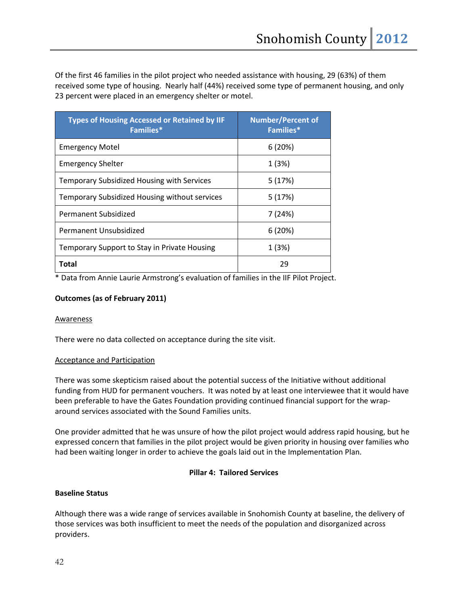Of the first 46 families in the pilot project who needed assistance with housing, 29 (63%) of them received some type of housing. Nearly half (44%) received some type of permanent housing, and only 23 percent were placed in an emergency shelter or motel.

| <b>Types of Housing Accessed or Retained by IIF</b><br>Families* | <b>Number/Percent of</b><br><b>Families*</b> |
|------------------------------------------------------------------|----------------------------------------------|
| <b>Emergency Motel</b>                                           | 6(20%)                                       |
| <b>Emergency Shelter</b>                                         | 1(3%)                                        |
| <b>Temporary Subsidized Housing with Services</b>                | 5(17%)                                       |
| Temporary Subsidized Housing without services                    | 5(17%)                                       |
| Permanent Subsidized                                             | 7(24%)                                       |
| Permanent Unsubsidized                                           | 6(20%)                                       |
| Temporary Support to Stay in Private Housing                     | 1(3%)                                        |
| Total                                                            | 29                                           |

\* Data from Annie Laurie Armstrong's evaluation of families in the IIF Pilot Project.

## **Outcomes (as of February 2011)**

## Awareness

There were no data collected on acceptance during the site visit.

## Acceptance and Participation

There was some skepticism raised about the potential success of the Initiative without additional funding from HUD for permanent vouchers. It was noted by at least one interviewee that it would have been preferable to have the Gates Foundation providing continued financial support for the wraparound services associated with the Sound Families units.

One provider admitted that he was unsure of how the pilot project would address rapid housing, but he expressed concern that families in the pilot project would be given priority in housing over families who had been waiting longer in order to achieve the goals laid out in the Implementation Plan.

## **Pillar 4: Tailored Services**

## **Baseline Status**

Although there was a wide range of services available in Snohomish County at baseline, the delivery of those services was both insufficient to meet the needs of the population and disorganized across providers.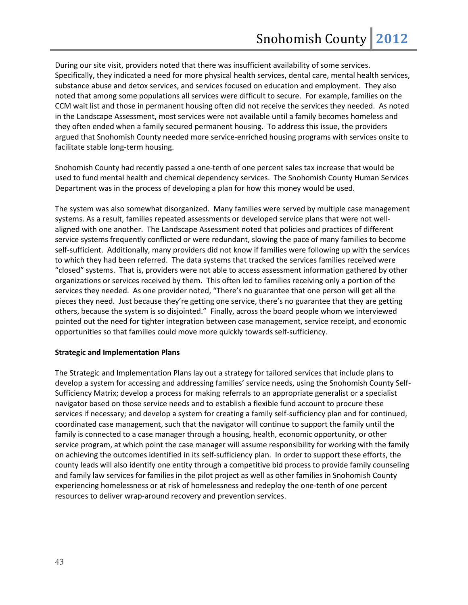During our site visit, providers noted that there was insufficient availability of some services. Specifically, they indicated a need for more physical health services, dental care, mental health services, substance abuse and detox services, and services focused on education and employment. They also noted that among some populations all services were difficult to secure. For example, families on the CCM wait list and those in permanent housing often did not receive the services they needed. As noted in the Landscape Assessment, most services were not available until a family becomes homeless and they often ended when a family secured permanent housing. To address this issue, the providers argued that Snohomish County needed more service-enriched housing programs with services onsite to facilitate stable long-term housing.

Snohomish County had recently passed a one-tenth of one percent sales tax increase that would be used to fund mental health and chemical dependency services. The Snohomish County Human Services Department was in the process of developing a plan for how this money would be used.

The system was also somewhat disorganized. Many families were served by multiple case management systems. As a result, families repeated assessments or developed service plans that were not wellaligned with one another. The Landscape Assessment noted that policies and practices of different service systems frequently conflicted or were redundant, slowing the pace of many families to become self-sufficient. Additionally, many providers did not know if families were following up with the services to which they had been referred. The data systems that tracked the services families received were "closed" systems. That is, providers were not able to access assessment information gathered by other organizations or services received by them. This often led to families receiving only a portion of the services they needed. As one provider noted, "There's no guarantee that one person will get all the pieces they need. Just because they're getting one service, there's no guarantee that they are getting others, because the system is so disjointed." Finally, across the board people whom we interviewed pointed out the need for tighter integration between case management, service receipt, and economic opportunities so that families could move more quickly towards self-sufficiency.

## **Strategic and Implementation Plans**

The Strategic and Implementation Plans lay out a strategy for tailored services that include plans to develop a system for accessing and addressing families' service needs, using the Snohomish County Self-Sufficiency Matrix; develop a process for making referrals to an appropriate generalist or a specialist navigator based on those service needs and to establish a flexible fund account to procure these services if necessary; and develop a system for creating a family self-sufficiency plan and for continued, coordinated case management, such that the navigator will continue to support the family until the family is connected to a case manager through a housing, health, economic opportunity, or other service program, at which point the case manager will assume responsibility for working with the family on achieving the outcomes identified in its self-sufficiency plan. In order to support these efforts, the county leads will also identify one entity through a competitive bid process to provide family counseling and family law services for families in the pilot project as well as other families in Snohomish County experiencing homelessness or at risk of homelessness and redeploy the one-tenth of one percent resources to deliver wrap-around recovery and prevention services.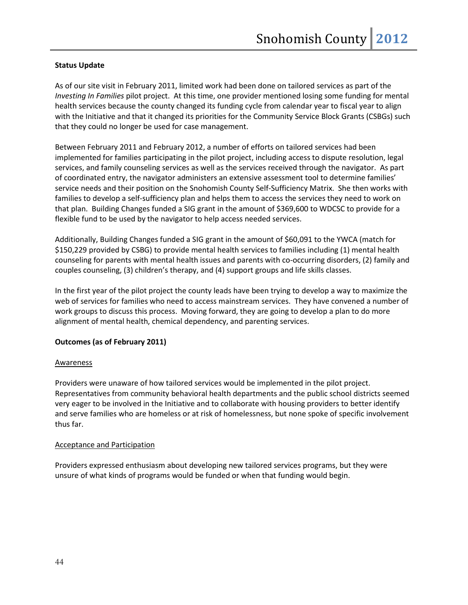## **Status Update**

As of our site visit in February 2011, limited work had been done on tailored services as part of the *Investing In Families* pilot project. At this time, one provider mentioned losing some funding for mental health services because the county changed its funding cycle from calendar year to fiscal year to align with the Initiative and that it changed its priorities for the Community Service Block Grants (CSBGs) such that they could no longer be used for case management.

Between February 2011 and February 2012, a number of efforts on tailored services had been implemented for families participating in the pilot project, including access to dispute resolution, legal services, and family counseling services as well as the services received through the navigator. As part of coordinated entry, the navigator administers an extensive assessment tool to determine families' service needs and their position on the Snohomish County Self-Sufficiency Matrix. She then works with families to develop a self-sufficiency plan and helps them to access the services they need to work on that plan. Building Changes funded a SIG grant in the amount of \$369,600 to WDCSC to provide for a flexible fund to be used by the navigator to help access needed services.

Additionally, Building Changes funded a SIG grant in the amount of \$60,091 to the YWCA (match for \$150,229 provided by CSBG) to provide mental health services to families including (1) mental health counseling for parents with mental health issues and parents with co-occurring disorders, (2) family and couples counseling, (3) children's therapy, and (4) support groups and life skills classes.

In the first year of the pilot project the county leads have been trying to develop a way to maximize the web of services for families who need to access mainstream services. They have convened a number of work groups to discuss this process. Moving forward, they are going to develop a plan to do more alignment of mental health, chemical dependency, and parenting services.

## **Outcomes (as of February 2011)**

## **Awareness**

Providers were unaware of how tailored services would be implemented in the pilot project. Representatives from community behavioral health departments and the public school districts seemed very eager to be involved in the Initiative and to collaborate with housing providers to better identify and serve families who are homeless or at risk of homelessness, but none spoke of specific involvement thus far.

## Acceptance and Participation

Providers expressed enthusiasm about developing new tailored services programs, but they were unsure of what kinds of programs would be funded or when that funding would begin.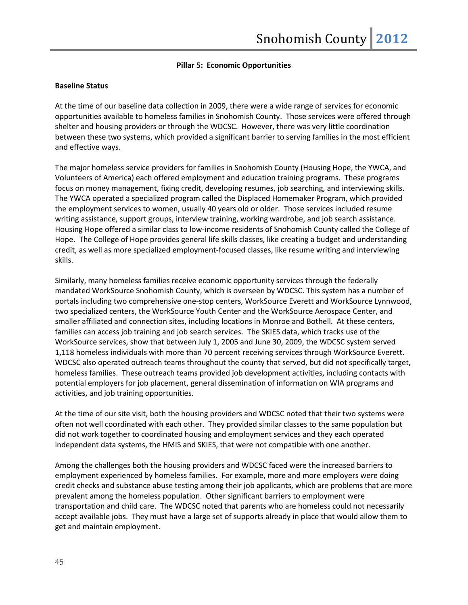## **Pillar 5: Economic Opportunities**

#### **Baseline Status**

At the time of our baseline data collection in 2009, there were a wide range of services for economic opportunities available to homeless families in Snohomish County. Those services were offered through shelter and housing providers or through the WDCSC. However, there was very little coordination between these two systems, which provided a significant barrier to serving families in the most efficient and effective ways.

The major homeless service providers for families in Snohomish County (Housing Hope, the YWCA, and Volunteers of America) each offered employment and education training programs. These programs focus on money management, fixing credit, developing resumes, job searching, and interviewing skills. The YWCA operated a specialized program called the Displaced Homemaker Program, which provided the employment services to women, usually 40 years old or older. Those services included resume writing assistance, support groups, interview training, working wardrobe, and job search assistance. Housing Hope offered a similar class to low-income residents of Snohomish County called the College of Hope. The College of Hope provides general life skills classes, like creating a budget and understanding credit, as well as more specialized employment-focused classes, like resume writing and interviewing skills.

Similarly, many homeless families receive economic opportunity services through the federally mandated WorkSource Snohomish County, which is overseen by WDCSC. This system has a number of portals including two comprehensive one-stop centers, WorkSource Everett and WorkSource Lynnwood, two specialized centers, the WorkSource Youth Center and the WorkSource Aerospace Center, and smaller affiliated and connection sites, including locations in Monroe and Bothell. At these centers, families can access job training and job search services. The SKIES data, which tracks use of the WorkSource services, show that between July 1, 2005 and June 30, 2009, the WDCSC system served 1,118 homeless individuals with more than 70 percent receiving services through WorkSource Everett. WDCSC also operated outreach teams throughout the county that served, but did not specifically target, homeless families. These outreach teams provided job development activities, including contacts with potential employers for job placement, general dissemination of information on WIA programs and activities, and job training opportunities.

At the time of our site visit, both the housing providers and WDCSC noted that their two systems were often not well coordinated with each other. They provided similar classes to the same population but did not work together to coordinated housing and employment services and they each operated independent data systems, the HMIS and SKIES, that were not compatible with one another.

Among the challenges both the housing providers and WDCSC faced were the increased barriers to employment experienced by homeless families. For example, more and more employers were doing credit checks and substance abuse testing among their job applicants, which are problems that are more prevalent among the homeless population. Other significant barriers to employment were transportation and child care. The WDCSC noted that parents who are homeless could not necessarily accept available jobs. They must have a large set of supports already in place that would allow them to get and maintain employment.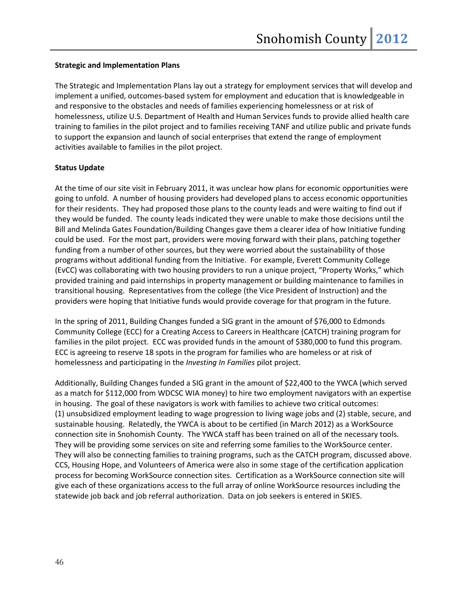## **Strategic and Implementation Plans**

The Strategic and Implementation Plans lay out a strategy for employment services that will develop and implement a unified, outcomes-based system for employment and education that is knowledgeable in and responsive to the obstacles and needs of families experiencing homelessness or at risk of homelessness, utilize U.S. Department of Health and Human Services funds to provide allied health care training to families in the pilot project and to families receiving TANF and utilize public and private funds to support the expansion and launch of social enterprises that extend the range of employment activities available to families in the pilot project.

## **Status Update**

At the time of our site visit in February 2011, it was unclear how plans for economic opportunities were going to unfold. A number of housing providers had developed plans to access economic opportunities for their residents. They had proposed those plans to the county leads and were waiting to find out if they would be funded. The county leads indicated they were unable to make those decisions until the Bill and Melinda Gates Foundation/Building Changes gave them a clearer idea of how Initiative funding could be used. For the most part, providers were moving forward with their plans, patching together funding from a number of other sources, but they were worried about the sustainability of those programs without additional funding from the Initiative. For example, Everett Community College (EvCC) was collaborating with two housing providers to run a unique project, "Property Works," which provided training and paid internships in property management or building maintenance to families in transitional housing. Representatives from the college (the Vice President of Instruction) and the providers were hoping that Initiative funds would provide coverage for that program in the future.

In the spring of 2011, Building Changes funded a SIG grant in the amount of \$76,000 to Edmonds Community College (ECC) for a Creating Access to Careers in Healthcare (CATCH) training program for families in the pilot project. ECC was provided funds in the amount of \$380,000 to fund this program. ECC is agreeing to reserve 18 spots in the program for families who are homeless or at risk of homelessness and participating in the *Investing In Families* pilot project.

Additionally, Building Changes funded a SIG grant in the amount of \$22,400 to the YWCA (which served as a match for \$112,000 from WDCSC WIA money) to hire two employment navigators with an expertise in housing. The goal of these navigators is work with families to achieve two critical outcomes: (1) unsubsidized employment leading to wage progression to living wage jobs and (2) stable, secure, and sustainable housing. Relatedly, the YWCA is about to be certified (in March 2012) as a WorkSource connection site in Snohomish County. The YWCA staff has been trained on all of the necessary tools. They will be providing some services on site and referring some families to the WorkSource center. They will also be connecting families to training programs, such as the CATCH program, discussed above. CCS, Housing Hope, and Volunteers of America were also in some stage of the certification application process for becoming WorkSource connection sites. Certification as a WorkSource connection site will give each of these organizations access to the full array of online WorkSource resources including the statewide job back and job referral authorization. Data on job seekers is entered in SKIES.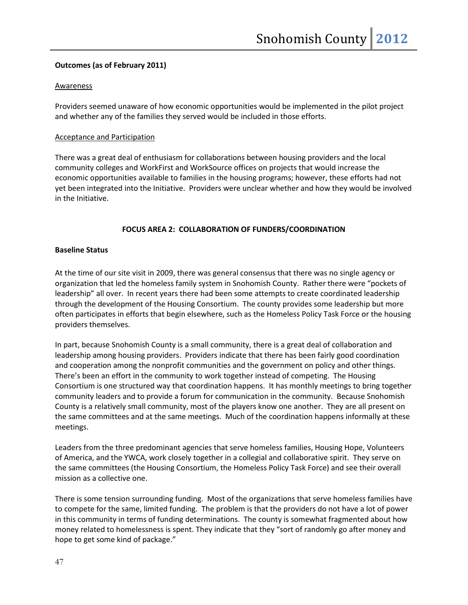## **Outcomes (as of February 2011)**

## Awareness

Providers seemed unaware of how economic opportunities would be implemented in the pilot project and whether any of the families they served would be included in those efforts.

## Acceptance and Participation

There was a great deal of enthusiasm for collaborations between housing providers and the local community colleges and WorkFirst and WorkSource offices on projects that would increase the economic opportunities available to families in the housing programs; however, these efforts had not yet been integrated into the Initiative. Providers were unclear whether and how they would be involved in the Initiative.

## **FOCUS AREA 2: COLLABORATION OF FUNDERS/COORDINATION**

## **Baseline Status**

At the time of our site visit in 2009, there was general consensus that there was no single agency or organization that led the homeless family system in Snohomish County. Rather there were "pockets of leadership" all over. In recent years there had been some attempts to create coordinated leadership through the development of the Housing Consortium. The county provides some leadership but more often participates in efforts that begin elsewhere, such as the Homeless Policy Task Force or the housing providers themselves.

In part, because Snohomish County is a small community, there is a great deal of collaboration and leadership among housing providers. Providers indicate that there has been fairly good coordination and cooperation among the nonprofit communities and the government on policy and other things. There's been an effort in the community to work together instead of competing. The Housing Consortium is one structured way that coordination happens. It has monthly meetings to bring together community leaders and to provide a forum for communication in the community. Because Snohomish County is a relatively small community, most of the players know one another. They are all present on the same committees and at the same meetings. Much of the coordination happens informally at these meetings.

Leaders from the three predominant agencies that serve homeless families, Housing Hope, Volunteers of America, and the YWCA, work closely together in a collegial and collaborative spirit. They serve on the same committees (the Housing Consortium, the Homeless Policy Task Force) and see their overall mission as a collective one.

There is some tension surrounding funding. Most of the organizations that serve homeless families have to compete for the same, limited funding. The problem is that the providers do not have a lot of power in this community in terms of funding determinations. The county is somewhat fragmented about how money related to homelessness is spent. They indicate that they "sort of randomly go after money and hope to get some kind of package."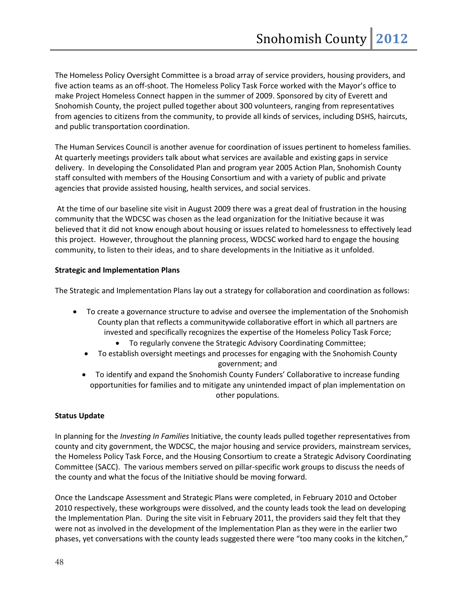The Homeless Policy Oversight Committee is a broad array of service providers, housing providers, and five action teams as an off-shoot. The Homeless Policy Task Force worked with the Mayor's office to make Project Homeless Connect happen in the summer of 2009. Sponsored by city of Everett and Snohomish County, the project pulled together about 300 volunteers, ranging from representatives from agencies to citizens from the community, to provide all kinds of services, including DSHS, haircuts, and public transportation coordination.

The Human Services Council is another avenue for coordination of issues pertinent to homeless families. At quarterly meetings providers talk about what services are available and existing gaps in service delivery. In developing the Consolidated Plan and program year 2005 Action Plan, Snohomish County staff consulted with members of the Housing Consortium and with a variety of public and private agencies that provide assisted housing, health services, and social services.

At the time of our baseline site visit in August 2009 there was a great deal of frustration in the housing community that the WDCSC was chosen as the lead organization for the Initiative because it was believed that it did not know enough about housing or issues related to homelessness to effectively lead this project. However, throughout the planning process, WDCSC worked hard to engage the housing community, to listen to their ideas, and to share developments in the Initiative as it unfolded.

## **Strategic and Implementation Plans**

The Strategic and Implementation Plans lay out a strategy for collaboration and coordination as follows:

- To create a governance structure to advise and oversee the implementation of the Snohomish County plan that reflects a communitywide collaborative effort in which all partners are invested and specifically recognizes the expertise of the Homeless Policy Task Force;
	- To regularly convene the Strategic Advisory Coordinating Committee;
	- To establish oversight meetings and processes for engaging with the Snohomish County government; and
	- To identify and expand the Snohomish County Funders' Collaborative to increase funding opportunities for families and to mitigate any unintended impact of plan implementation on other populations.

## **Status Update**

In planning for the *Investing In Families* Initiative, the county leads pulled together representatives from county and city government, the WDCSC, the major housing and service providers, mainstream services, the Homeless Policy Task Force, and the Housing Consortium to create a Strategic Advisory Coordinating Committee (SACC). The various members served on pillar-specific work groups to discuss the needs of the county and what the focus of the Initiative should be moving forward.

Once the Landscape Assessment and Strategic Plans were completed, in February 2010 and October 2010 respectively, these workgroups were dissolved, and the county leads took the lead on developing the Implementation Plan. During the site visit in February 2011, the providers said they felt that they were not as involved in the development of the Implementation Plan as they were in the earlier two phases, yet conversations with the county leads suggested there were "too many cooks in the kitchen,"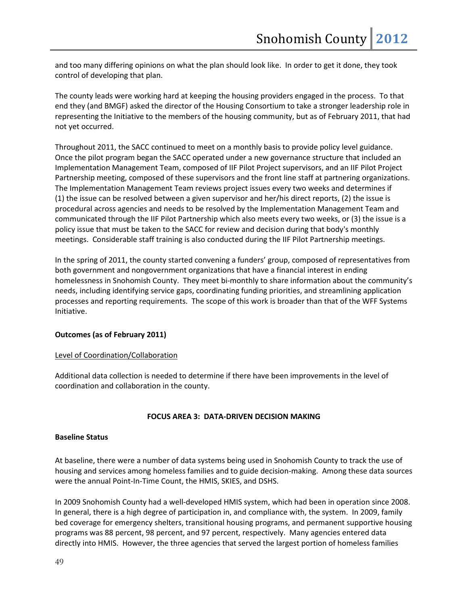and too many differing opinions on what the plan should look like. In order to get it done, they took control of developing that plan.

The county leads were working hard at keeping the housing providers engaged in the process. To that end they (and BMGF) asked the director of the Housing Consortium to take a stronger leadership role in representing the Initiative to the members of the housing community, but as of February 2011, that had not yet occurred.

Throughout 2011, the SACC continued to meet on a monthly basis to provide policy level guidance. Once the pilot program began the SACC operated under a new governance structure that included an Implementation Management Team, composed of IIF Pilot Project supervisors, and an IIF Pilot Project Partnership meeting, composed of these supervisors and the front line staff at partnering organizations. The Implementation Management Team reviews project issues every two weeks and determines if (1) the issue can be resolved between a given supervisor and her/his direct reports, (2) the issue is procedural across agencies and needs to be resolved by the Implementation Management Team and communicated through the IIF Pilot Partnership which also meets every two weeks, or (3) the issue is a policy issue that must be taken to the SACC for review and decision during that body's monthly meetings. Considerable staff training is also conducted during the IIF Pilot Partnership meetings.

In the spring of 2011, the county started convening a funders' group, composed of representatives from both government and nongovernment organizations that have a financial interest in ending homelessness in Snohomish County. They meet bi-monthly to share information about the community's needs, including identifying service gaps, coordinating funding priorities, and streamlining application processes and reporting requirements. The scope of this work is broader than that of the WFF Systems Initiative.

## **Outcomes (as of February 2011)**

## Level of Coordination/Collaboration

Additional data collection is needed to determine if there have been improvements in the level of coordination and collaboration in the county.

## **FOCUS AREA 3: DATA-DRIVEN DECISION MAKING**

## **Baseline Status**

At baseline, there were a number of data systems being used in Snohomish County to track the use of housing and services among homeless families and to guide decision-making. Among these data sources were the annual Point-In-Time Count, the HMIS, SKIES, and DSHS.

In 2009 Snohomish County had a well-developed HMIS system, which had been in operation since 2008. In general, there is a high degree of participation in, and compliance with, the system. In 2009, family bed coverage for emergency shelters, transitional housing programs, and permanent supportive housing programs was 88 percent, 98 percent, and 97 percent, respectively. Many agencies entered data directly into HMIS. However, the three agencies that served the largest portion of homeless families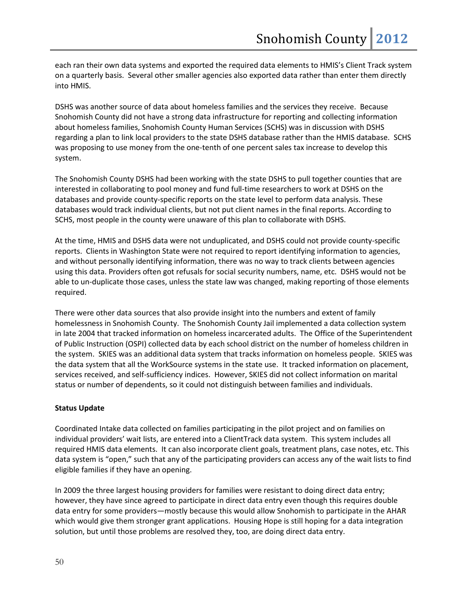each ran their own data systems and exported the required data elements to HMIS's Client Track system on a quarterly basis. Several other smaller agencies also exported data rather than enter them directly into HMIS.

DSHS was another source of data about homeless families and the services they receive. Because Snohomish County did not have a strong data infrastructure for reporting and collecting information about homeless families, Snohomish County Human Services (SCHS) was in discussion with DSHS regarding a plan to link local providers to the state DSHS database rather than the HMIS database. SCHS was proposing to use money from the one-tenth of one percent sales tax increase to develop this system.

The Snohomish County DSHS had been working with the state DSHS to pull together counties that are interested in collaborating to pool money and fund full-time researchers to work at DSHS on the databases and provide county-specific reports on the state level to perform data analysis. These databases would track individual clients, but not put client names in the final reports. According to SCHS, most people in the county were unaware of this plan to collaborate with DSHS.

At the time, HMIS and DSHS data were not unduplicated, and DSHS could not provide county-specific reports. Clients in Washington State were not required to report identifying information to agencies, and without personally identifying information, there was no way to track clients between agencies using this data. Providers often got refusals for social security numbers, name, etc. DSHS would not be able to un-duplicate those cases, unless the state law was changed, making reporting of those elements required.

There were other data sources that also provide insight into the numbers and extent of family homelessness in Snohomish County. The Snohomish County Jail implemented a data collection system in late 2004 that tracked information on homeless incarcerated adults. The Office of the Superintendent of Public Instruction (OSPI) collected data by each school district on the number of homeless children in the system. SKIES was an additional data system that tracks information on homeless people. SKIES was the data system that all the WorkSource systems in the state use. It tracked information on placement, services received, and self-sufficiency indices. However, SKIES did not collect information on marital status or number of dependents, so it could not distinguish between families and individuals.

## **Status Update**

Coordinated Intake data collected on families participating in the pilot project and on families on individual providers' wait lists, are entered into a ClientTrack data system. This system includes all required HMIS data elements. It can also incorporate client goals, treatment plans, case notes, etc. This data system is "open," such that any of the participating providers can access any of the wait lists to find eligible families if they have an opening.

In 2009 the three largest housing providers for families were resistant to doing direct data entry; however, they have since agreed to participate in direct data entry even though this requires double data entry for some providers—mostly because this would allow Snohomish to participate in the AHAR which would give them stronger grant applications. Housing Hope is still hoping for a data integration solution, but until those problems are resolved they, too, are doing direct data entry.